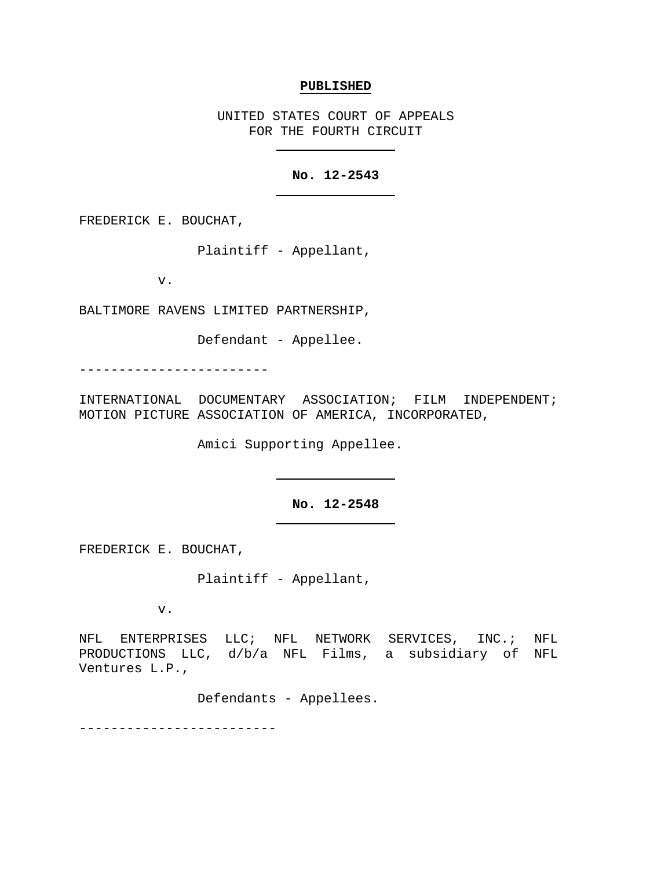#### **PUBLISHED**

UNITED STATES COURT OF APPEALS FOR THE FOURTH CIRCUIT

# **No. 12-2543**

FREDERICK E. BOUCHAT,

Plaintiff - Appellant,

v.

BALTIMORE RAVENS LIMITED PARTNERSHIP,

Defendant - Appellee.

------------------------

INTERNATIONAL DOCUMENTARY ASSOCIATION; FILM INDEPENDENT; MOTION PICTURE ASSOCIATION OF AMERICA, INCORPORATED,

Amici Supporting Appellee.

# **No. 12-2548**

FREDERICK E. BOUCHAT,

Plaintiff - Appellant,

v.

NFL ENTERPRISES LLC; NFL NETWORK SERVICES, INC.; NFL PRODUCTIONS LLC, d/b/a NFL Films, a subsidiary of NFL Ventures L.P.,

Defendants - Appellees.

-------------------------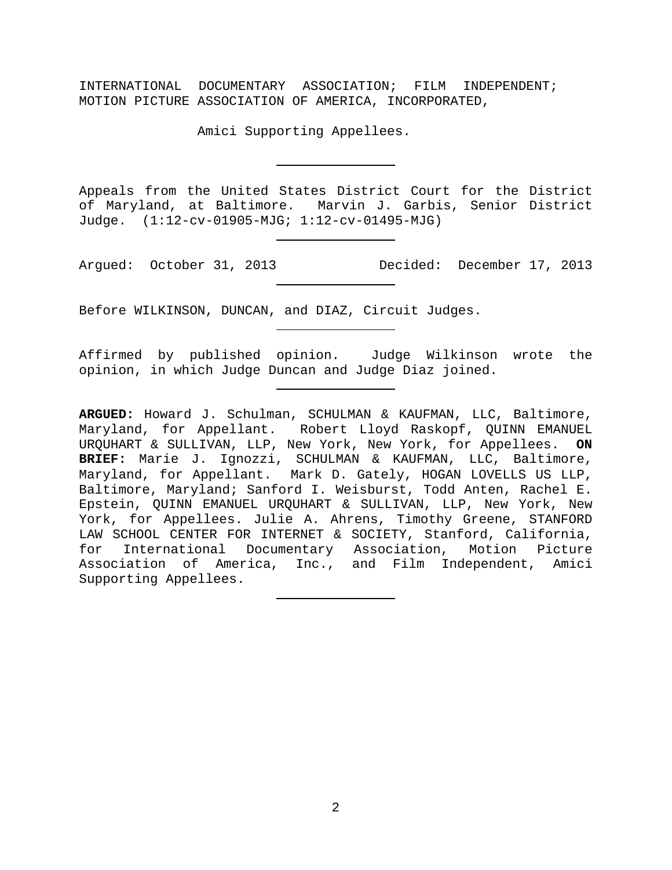INTERNATIONAL DOCUMENTARY ASSOCIATION; FILM INDEPENDENT; MOTION PICTURE ASSOCIATION OF AMERICA, INCORPORATED,

Amici Supporting Appellees.

Appeals from the United States District Court for the District of Maryland, at Baltimore. Marvin J. Garbis, Senior District Judge. (1:12-cv-01905-MJG; 1:12-cv-01495-MJG)

Argued: October 31, 2013 Decided: December 17, 2013

Before WILKINSON, DUNCAN, and DIAZ, Circuit Judges.

Affirmed by published opinion. Judge Wilkinson wrote the opinion, in which Judge Duncan and Judge Diaz joined.

**ARGUED:** Howard J. Schulman, SCHULMAN & KAUFMAN, LLC, Baltimore, Maryland, for Appellant. Robert Lloyd Raskopf, QUINN EMANUEL URQUHART & SULLIVAN, LLP, New York, New York, for Appellees. **ON BRIEF:** Marie J. Ignozzi, SCHULMAN & KAUFMAN, LLC, Baltimore, Maryland, for Appellant. Mark D. Gately, HOGAN LOVELLS US LLP, Baltimore, Maryland; Sanford I. Weisburst, Todd Anten, Rachel E. Epstein, QUINN EMANUEL URQUHART & SULLIVAN, LLP, New York, New York, for Appellees. Julie A. Ahrens, Timothy Greene, STANFORD LAW SCHOOL CENTER FOR INTERNET & SOCIETY, Stanford, California, for International Documentary Association, Motion Picture Association of America, Inc., and Film Independent, Amici Supporting Appellees.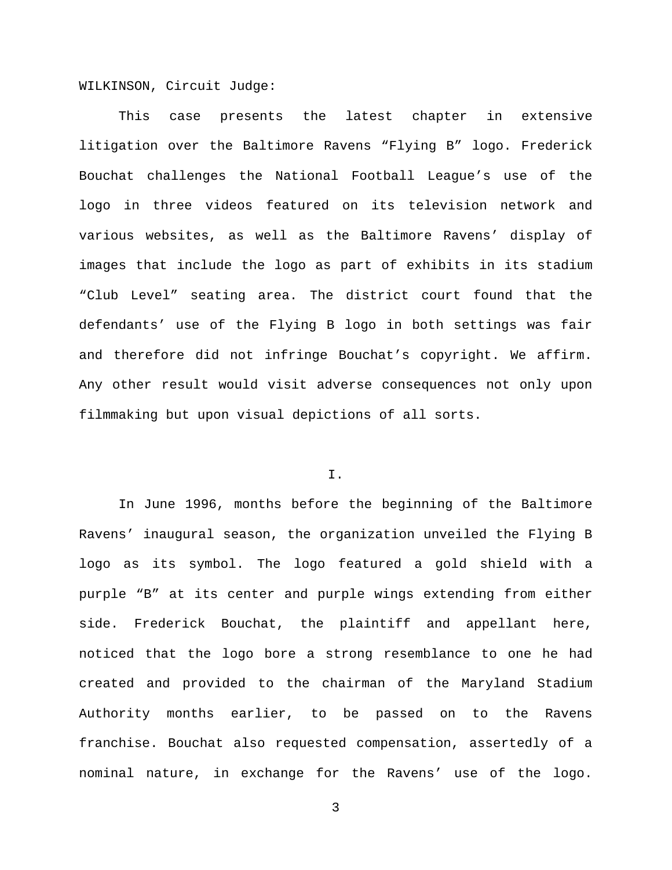WILKINSON, Circuit Judge:

This case presents the latest chapter in extensive litigation over the Baltimore Ravens "Flying B" logo. Frederick Bouchat challenges the National Football League's use of the logo in three videos featured on its television network and various websites, as well as the Baltimore Ravens' display of images that include the logo as part of exhibits in its stadium "Club Level" seating area. The district court found that the defendants' use of the Flying B logo in both settings was fair and therefore did not infringe Bouchat's copyright. We affirm. Any other result would visit adverse consequences not only upon filmmaking but upon visual depictions of all sorts.

# I.

In June 1996, months before the beginning of the Baltimore Ravens' inaugural season, the organization unveiled the Flying B logo as its symbol. The logo featured a gold shield with a purple "B" at its center and purple wings extending from either side. Frederick Bouchat, the plaintiff and appellant here, noticed that the logo bore a strong resemblance to one he had created and provided to the chairman of the Maryland Stadium Authority months earlier, to be passed on to the Ravens franchise. Bouchat also requested compensation, assertedly of a nominal nature, in exchange for the Ravens' use of the logo.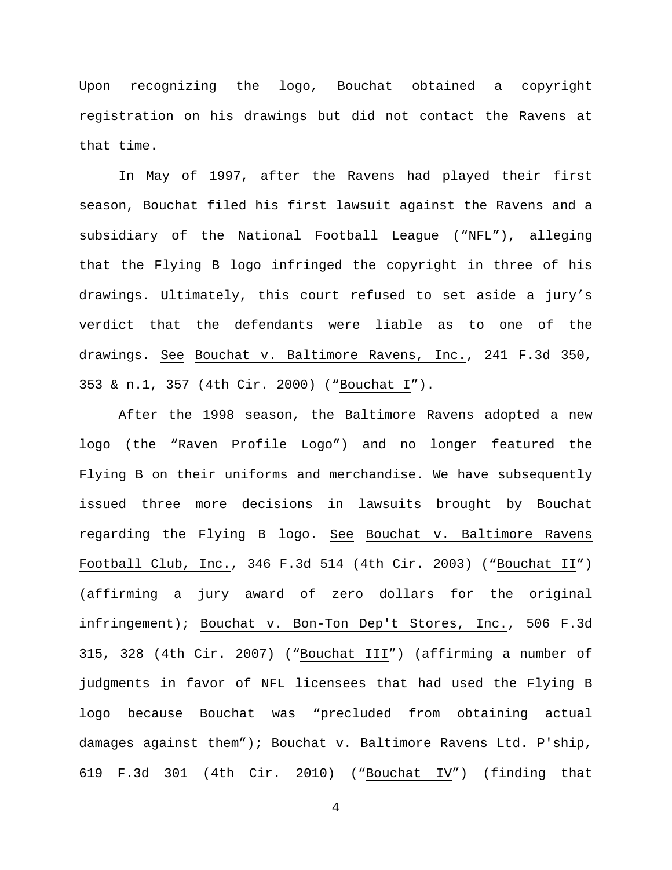Upon recognizing the logo, Bouchat obtained a copyright registration on his drawings but did not contact the Ravens at that time.

In May of 1997, after the Ravens had played their first season, Bouchat filed his first lawsuit against the Ravens and a subsidiary of the National Football League ("NFL"), alleging that the Flying B logo infringed the copyright in three of his drawings. Ultimately, this court refused to set aside a jury's verdict that the defendants were liable as to one of the drawings. See Bouchat v. Baltimore Ravens, Inc., 241 F.3d 350, 353 & n.1, 357 (4th Cir. 2000) ("Bouchat I").

After the 1998 season, the Baltimore Ravens adopted a new logo (the "Raven Profile Logo") and no longer featured the Flying B on their uniforms and merchandise. We have subsequently issued three more decisions in lawsuits brought by Bouchat regarding the Flying B logo. See Bouchat v. Baltimore Ravens Football Club, Inc., 346 F.3d 514 (4th Cir. 2003) ("Bouchat II") (affirming a jury award of zero dollars for the original infringement); Bouchat v. Bon-Ton Dep't Stores, Inc., 506 F.3d 315, 328 (4th Cir. 2007) ("Bouchat III") (affirming a number of judgments in favor of NFL licensees that had used the Flying B logo because Bouchat was "precluded from obtaining actual damages against them"); Bouchat v. Baltimore Ravens Ltd. P'ship, 619 F.3d 301 (4th Cir. 2010) ("Bouchat IV") (finding that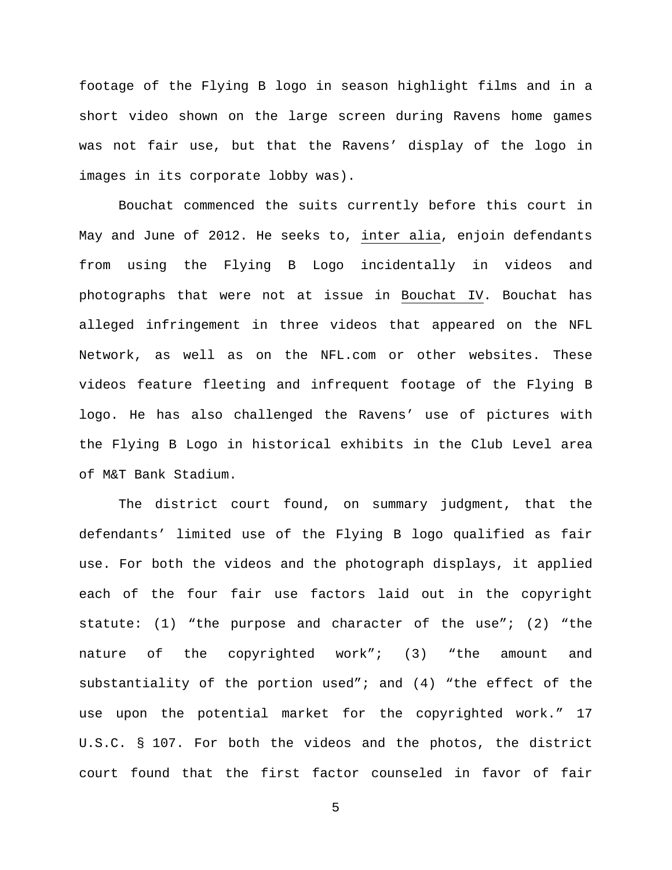footage of the Flying B logo in season highlight films and in a short video shown on the large screen during Ravens home games was not fair use, but that the Ravens' display of the logo in images in its corporate lobby was).

Bouchat commenced the suits currently before this court in May and June of 2012. He seeks to, inter alia, enjoin defendants from using the Flying B Logo incidentally in videos and photographs that were not at issue in Bouchat IV. Bouchat has alleged infringement in three videos that appeared on the NFL Network, as well as on the NFL.com or other websites. These videos feature fleeting and infrequent footage of the Flying B logo. He has also challenged the Ravens' use of pictures with the Flying B Logo in historical exhibits in the Club Level area of M&T Bank Stadium.

The district court found, on summary judgment, that the defendants' limited use of the Flying B logo qualified as fair use. For both the videos and the photograph displays, it applied each of the four fair use factors laid out in the copyright statute: (1) "the purpose and character of the use"; (2) "the nature of the copyrighted work"; (3) "the amount and substantiality of the portion used"; and (4) "the effect of the use upon the potential market for the copyrighted work." 17 U.S.C. § 107. For both the videos and the photos, the district court found that the first factor counseled in favor of fair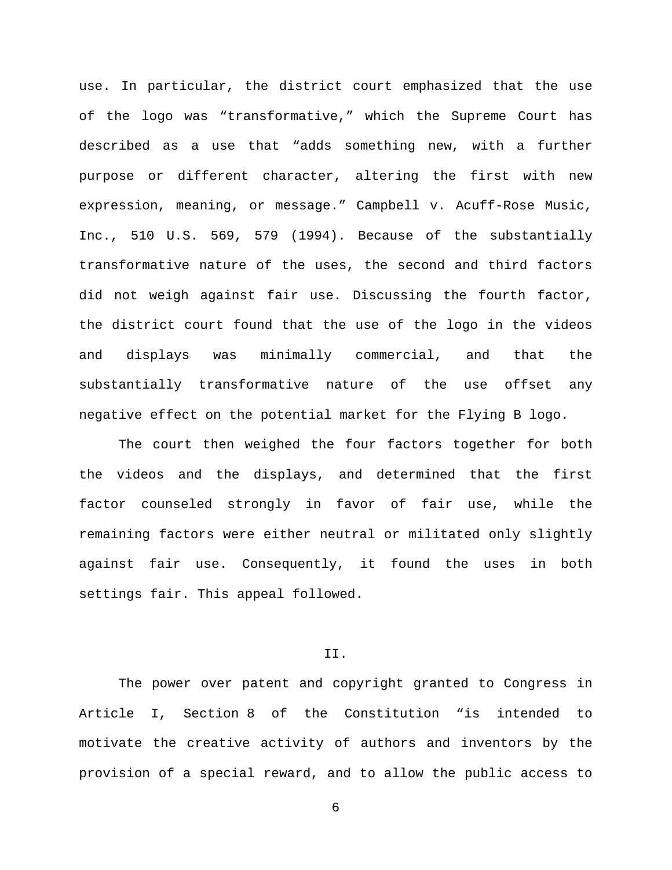use. In particular, the district court emphasized that the use of the logo was "transformative," which the Supreme Court has described as a use that "adds something new, with a further purpose or different character, altering the first with new expression, meaning, or message." Campbell v. Acuff-Rose Music, Inc., 510 U.S. 569, 579 (1994). Because of the substantially transformative nature of the uses, the second and third factors did not weigh against fair use. Discussing the fourth factor, the district court found that the use of the logo in the videos and displays was minimally commercial, and that the substantially transformative nature of the use offset any negative effect on the potential market for the Flying B logo.

The court then weighed the four factors together for both the videos and the displays, and determined that the first factor counseled strongly in favor of fair use, while the remaining factors were either neutral or militated only slightly against fair use. Consequently, it found the uses in both settings fair. This appeal followed.

## II.

The power over patent and copyright granted to Congress in Article I, Section 8 of the Constitution "is intended to motivate the creative activity of authors and inventors by the provision of a special reward, and to allow the public access to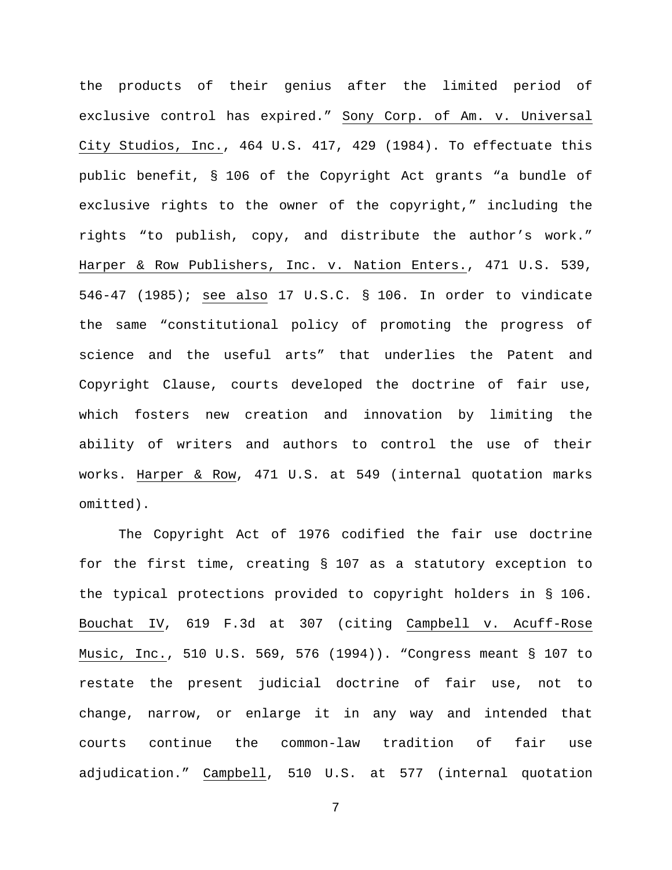the products of their genius after the limited period of exclusive control has expired." Sony Corp. of Am. v. Universal City Studios, Inc., 464 U.S. 417, 429 (1984). To effectuate this public benefit, § 106 of the Copyright Act grants "a bundle of exclusive rights to the owner of the copyright," including the rights "to publish, copy, and distribute the author's work." Harper & Row Publishers, Inc. v. Nation Enters., 471 U.S. 539, 546-47 (1985); see also 17 U.S.C. § 106. In order to vindicate the same "constitutional policy of promoting the progress of science and the useful arts" that underlies the Patent and Copyright Clause, courts developed the doctrine of fair use, which fosters new creation and innovation by limiting the ability of writers and authors to control the use of their works. Harper & Row, 471 U.S. at 549 (internal quotation marks omitted).

The Copyright Act of 1976 codified the fair use doctrine for the first time, creating § 107 as a statutory exception to the typical protections provided to copyright holders in § 106. Bouchat IV, 619 F.3d at 307 (citing Campbell v. Acuff-Rose Music, Inc., 510 U.S. 569, 576 (1994)). "Congress meant § 107 to restate the present judicial doctrine of fair use, not to change, narrow, or enlarge it in any way and intended that courts continue the common-law tradition of fair use adjudication." Campbell, 510 U.S. at 577 (internal quotation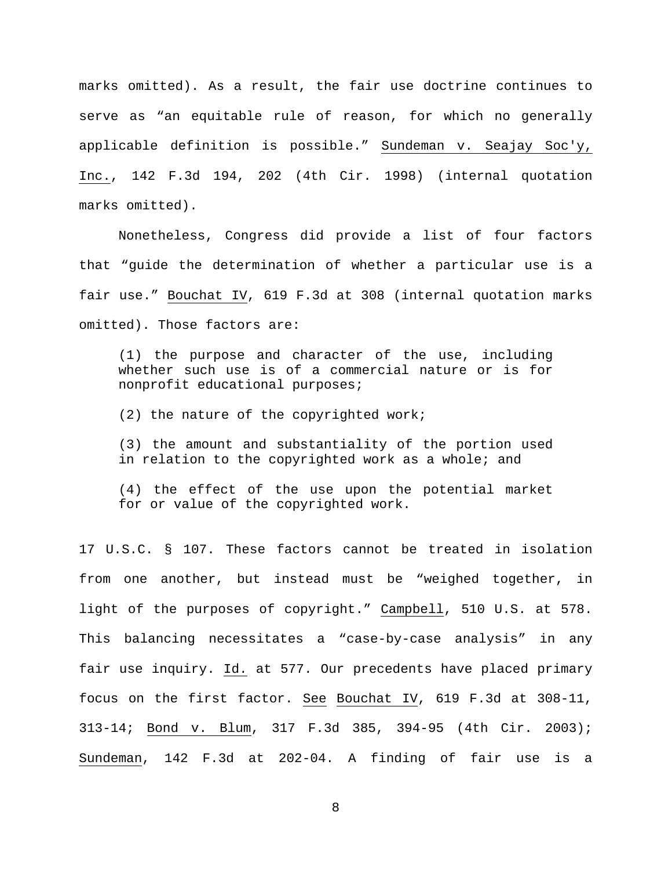marks omitted). As a result, the fair use doctrine continues to serve as "an equitable rule of reason, for which no generally applicable definition is possible." Sundeman v. Seajay Soc'y, Inc., 142 F.3d 194, 202 (4th Cir. 1998) (internal quotation marks omitted).

Nonetheless, Congress did provide a list of four factors that "guide the determination of whether a particular use is a fair use." Bouchat IV, 619 F.3d at 308 (internal quotation marks omitted). Those factors are:

(1) the purpose and character of the use, including whether such use is of a commercial nature or is for nonprofit educational purposes;

(2) the nature of the copyrighted work;

(3) the amount and substantiality of the portion used in relation to the copyrighted work as a whole; and

(4) the effect of the use upon the potential market for or value of the copyrighted work.

17 U.S.C. § 107. These factors cannot be treated in isolation from one another, but instead must be "weighed together, in light of the purposes of copyright." Campbell, 510 U.S. at 578. This balancing necessitates a "case-by-case analysis" in any fair use inquiry. Id. at 577. Our precedents have placed primary focus on the first factor. See Bouchat IV, 619 F.3d at 308-11, 313-14; Bond v. Blum, 317 F.3d 385, 394-95 (4th Cir. 2003); Sundeman, 142 F.3d at 202-04. A finding of fair use is a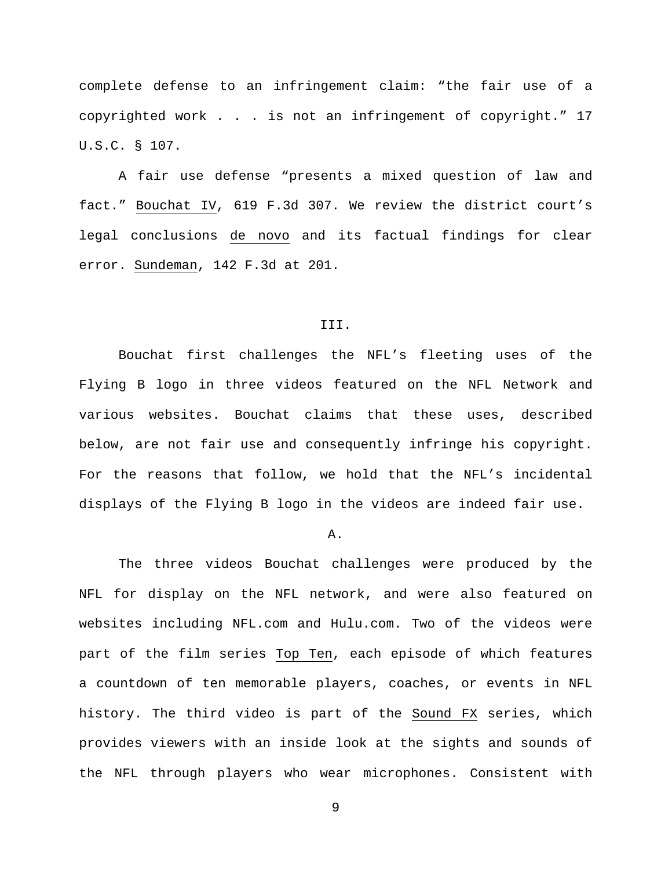complete defense to an infringement claim: "the fair use of a copyrighted work . . . is not an infringement of copyright." 17 U.S.C. § 107.

A fair use defense "presents a mixed question of law and fact." Bouchat IV, 619 F.3d 307. We review the district court's legal conclusions de novo and its factual findings for clear error. Sundeman, 142 F.3d at 201.

#### III.

Bouchat first challenges the NFL's fleeting uses of the Flying B logo in three videos featured on the NFL Network and various websites. Bouchat claims that these uses, described below, are not fair use and consequently infringe his copyright. For the reasons that follow, we hold that the NFL's incidental displays of the Flying B logo in the videos are indeed fair use.

#### A.

The three videos Bouchat challenges were produced by the NFL for display on the NFL network, and were also featured on websites including NFL.com and Hulu.com. Two of the videos were part of the film series Top Ten, each episode of which features a countdown of ten memorable players, coaches, or events in NFL history. The third video is part of the Sound FX series, which provides viewers with an inside look at the sights and sounds of the NFL through players who wear microphones. Consistent with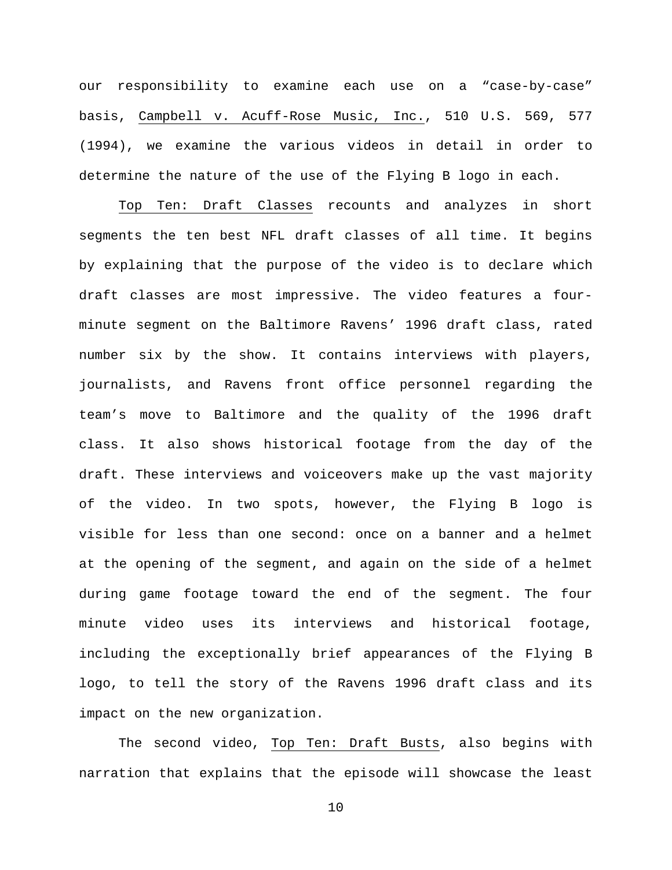our responsibility to examine each use on a "case-by-case" basis, Campbell v. Acuff-Rose Music, Inc., 510 U.S. 569, 577 (1994), we examine the various videos in detail in order to determine the nature of the use of the Flying B logo in each.

Top Ten: Draft Classes recounts and analyzes in short segments the ten best NFL draft classes of all time. It begins by explaining that the purpose of the video is to declare which draft classes are most impressive. The video features a fourminute segment on the Baltimore Ravens' 1996 draft class, rated number six by the show. It contains interviews with players, journalists, and Ravens front office personnel regarding the team's move to Baltimore and the quality of the 1996 draft class. It also shows historical footage from the day of the draft. These interviews and voiceovers make up the vast majority of the video. In two spots, however, the Flying B logo is visible for less than one second: once on a banner and a helmet at the opening of the segment, and again on the side of a helmet during game footage toward the end of the segment. The four minute video uses its interviews and historical footage, including the exceptionally brief appearances of the Flying B logo, to tell the story of the Ravens 1996 draft class and its impact on the new organization.

The second video, Top Ten: Draft Busts, also begins with narration that explains that the episode will showcase the least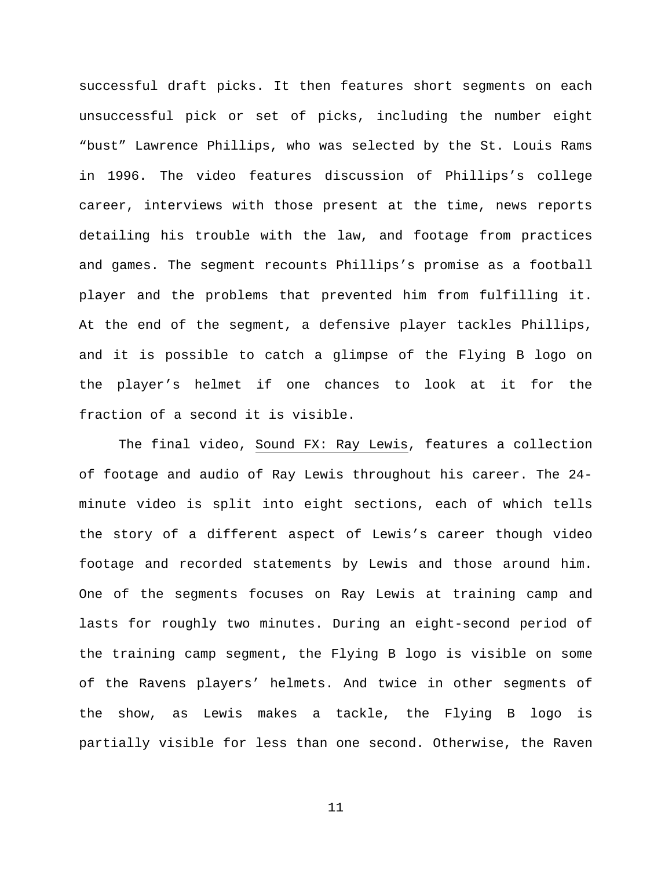successful draft picks. It then features short segments on each unsuccessful pick or set of picks, including the number eight "bust" Lawrence Phillips, who was selected by the St. Louis Rams in 1996. The video features discussion of Phillips's college career, interviews with those present at the time, news reports detailing his trouble with the law, and footage from practices and games. The segment recounts Phillips's promise as a football player and the problems that prevented him from fulfilling it. At the end of the segment, a defensive player tackles Phillips, and it is possible to catch a glimpse of the Flying B logo on the player's helmet if one chances to look at it for the fraction of a second it is visible.

The final video, Sound FX: Ray Lewis, features a collection of footage and audio of Ray Lewis throughout his career. The 24 minute video is split into eight sections, each of which tells the story of a different aspect of Lewis's career though video footage and recorded statements by Lewis and those around him. One of the segments focuses on Ray Lewis at training camp and lasts for roughly two minutes. During an eight-second period of the training camp segment, the Flying B logo is visible on some of the Ravens players' helmets. And twice in other segments of the show, as Lewis makes a tackle, the Flying B logo is partially visible for less than one second. Otherwise, the Raven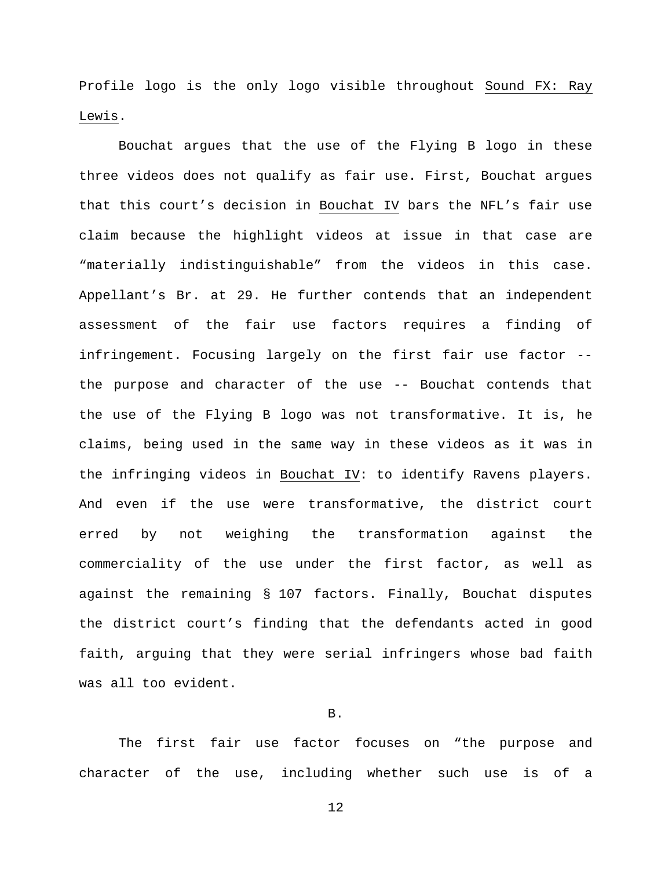Profile logo is the only logo visible throughout Sound FX: Ray Lewis.

Bouchat argues that the use of the Flying B logo in these three videos does not qualify as fair use. First, Bouchat argues that this court's decision in Bouchat IV bars the NFL's fair use claim because the highlight videos at issue in that case are "materially indistinguishable" from the videos in this case. Appellant's Br. at 29. He further contends that an independent assessment of the fair use factors requires a finding of infringement. Focusing largely on the first fair use factor - the purpose and character of the use -- Bouchat contends that the use of the Flying B logo was not transformative. It is, he claims, being used in the same way in these videos as it was in the infringing videos in Bouchat IV: to identify Ravens players. And even if the use were transformative, the district court erred by not weighing the transformation against the commerciality of the use under the first factor, as well as against the remaining § 107 factors. Finally, Bouchat disputes the district court's finding that the defendants acted in good faith, arguing that they were serial infringers whose bad faith was all too evident.

## B.

The first fair use factor focuses on "the purpose and character of the use, including whether such use is of a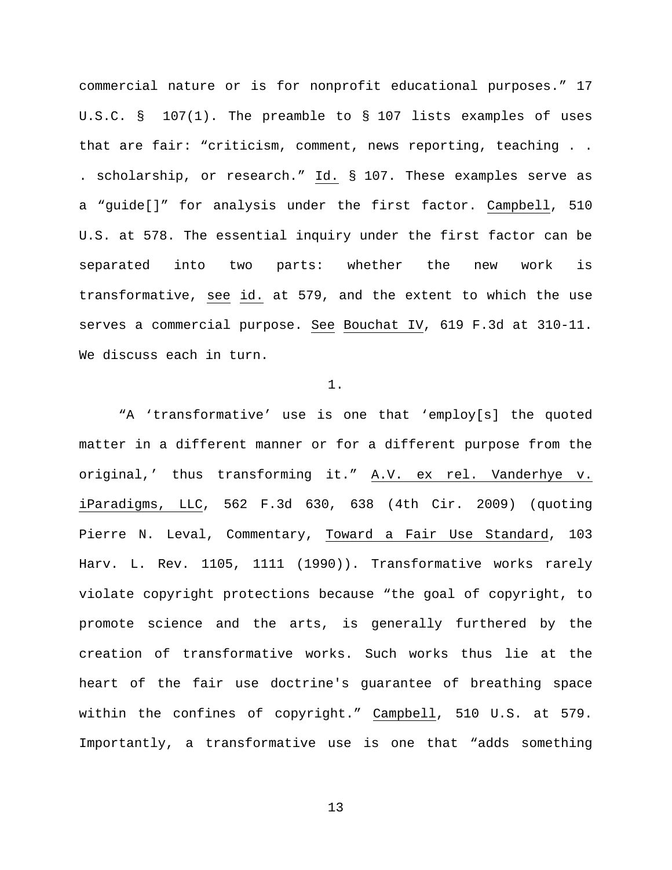commercial nature or is for nonprofit educational purposes." 17 U.S.C. § 107(1). The preamble to § 107 lists examples of uses that are fair: "criticism, comment, news reporting, teaching . . . scholarship, or research." Id. § 107. These examples serve as a "guide[]" for analysis under the first factor. Campbell, 510 U.S. at 578. The essential inquiry under the first factor can be separated into two parts: whether the new work is transformative, see id. at 579, and the extent to which the use serves a commercial purpose. See Bouchat IV, 619 F.3d at 310-11. We discuss each in turn.

1.

"A 'transformative' use is one that 'employ[s] the quoted matter in a different manner or for a different purpose from the original,' thus transforming it." A.V. ex rel. Vanderhye v. iParadigms, LLC, 562 F.3d 630, 638 (4th Cir. 2009) (quoting Pierre N. Leval, Commentary, Toward a Fair Use Standard, 103 Harv. L. Rev. 1105, 1111 (1990)). Transformative works rarely violate copyright protections because "the goal of copyright, to promote science and the arts, is generally furthered by the creation of transformative works. Such works thus lie at the heart of the fair use doctrine's guarantee of breathing space within the confines of copyright." Campbell, 510 U.S. at 579. Importantly, a transformative use is one that "adds something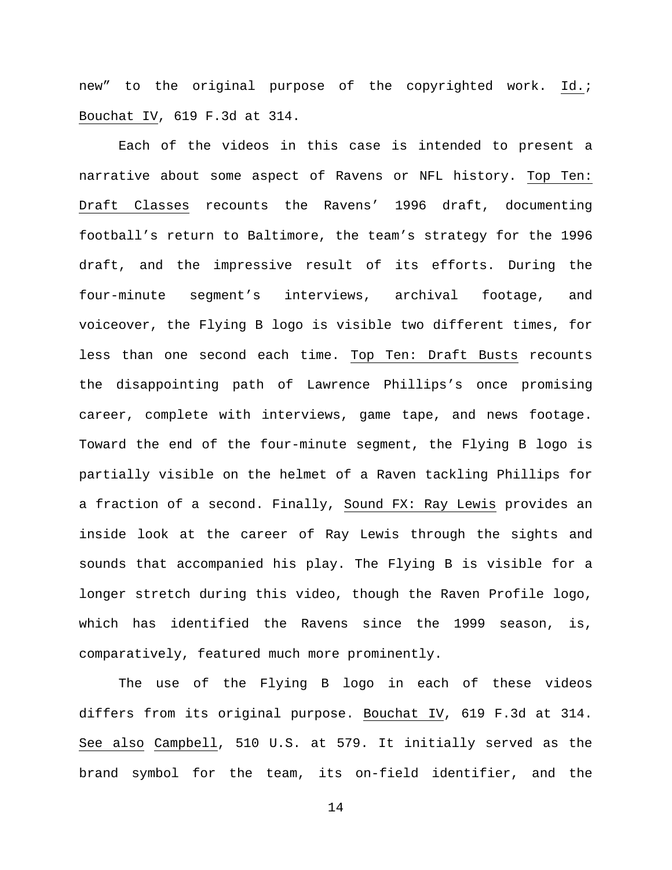new" to the original purpose of the copyrighted work. Id.; Bouchat IV, 619 F.3d at 314.

Each of the videos in this case is intended to present a narrative about some aspect of Ravens or NFL history. Top Ten: Draft Classes recounts the Ravens' 1996 draft, documenting football's return to Baltimore, the team's strategy for the 1996 draft, and the impressive result of its efforts. During the four-minute segment's interviews, archival footage, and voiceover, the Flying B logo is visible two different times, for less than one second each time. Top Ten: Draft Busts recounts the disappointing path of Lawrence Phillips's once promising career, complete with interviews, game tape, and news footage. Toward the end of the four-minute segment, the Flying B logo is partially visible on the helmet of a Raven tackling Phillips for a fraction of a second. Finally, Sound FX: Ray Lewis provides an inside look at the career of Ray Lewis through the sights and sounds that accompanied his play. The Flying B is visible for a longer stretch during this video, though the Raven Profile logo, which has identified the Ravens since the 1999 season, is, comparatively, featured much more prominently.

The use of the Flying B logo in each of these videos differs from its original purpose. Bouchat IV, 619 F.3d at 314. See also Campbell, 510 U.S. at 579. It initially served as the brand symbol for the team, its on-field identifier, and the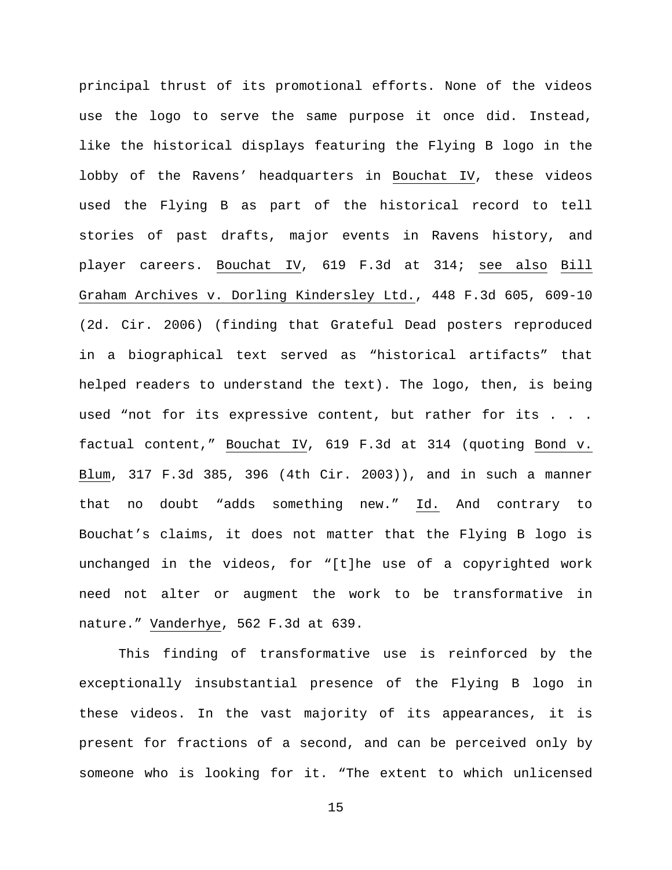principal thrust of its promotional efforts. None of the videos use the logo to serve the same purpose it once did. Instead, like the historical displays featuring the Flying B logo in the lobby of the Ravens' headquarters in Bouchat IV, these videos used the Flying B as part of the historical record to tell stories of past drafts, major events in Ravens history, and player careers. Bouchat IV, 619 F.3d at 314; see also Bill Graham Archives v. Dorling Kindersley Ltd., 448 F.3d 605, 609-10 (2d. Cir. 2006) (finding that Grateful Dead posters reproduced in a biographical text served as "historical artifacts" that helped readers to understand the text). The logo, then, is being used "not for its expressive content, but rather for its . . . factual content," Bouchat IV, 619 F.3d at 314 (quoting Bond v. Blum, 317 F.3d 385, 396 (4th Cir. 2003)), and in such a manner that no doubt "adds something new." Id. And contrary to Bouchat's claims, it does not matter that the Flying B logo is unchanged in the videos, for "[t]he use of a copyrighted work need not alter or augment the work to be transformative in nature." Vanderhye, 562 F.3d at 639.

This finding of transformative use is reinforced by the exceptionally insubstantial presence of the Flying B logo in these videos. In the vast majority of its appearances, it is present for fractions of a second, and can be perceived only by someone who is looking for it. "The extent to which unlicensed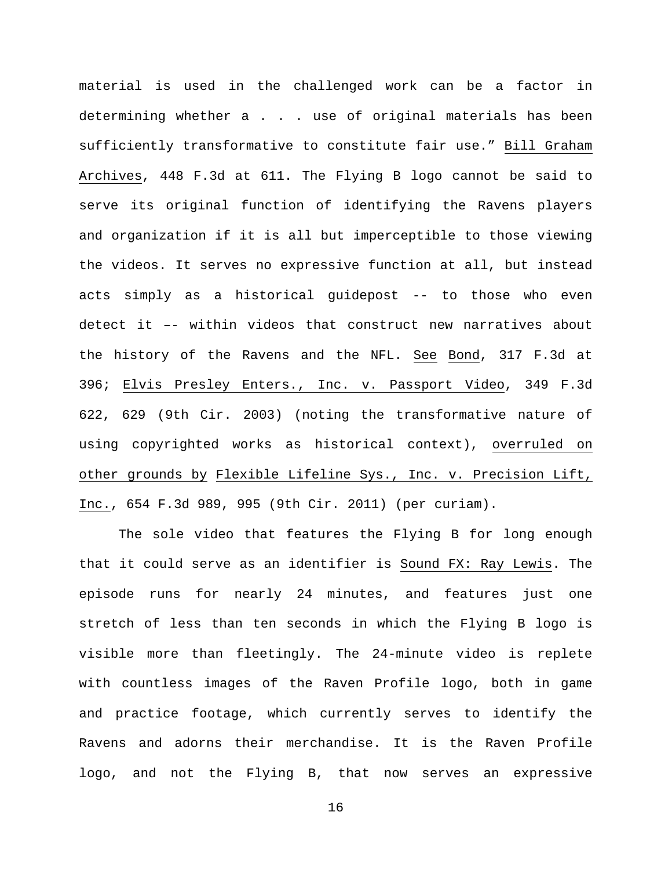material is used in the challenged work can be a factor in determining whether a . . . use of original materials has been sufficiently transformative to constitute fair use." Bill Graham Archives, 448 F.3d at 611. The Flying B logo cannot be said to serve its original function of identifying the Ravens players and organization if it is all but imperceptible to those viewing the videos. It serves no expressive function at all, but instead acts simply as a historical guidepost -- to those who even detect it –- within videos that construct new narratives about the history of the Ravens and the NFL. See Bond, 317 F.3d at 396; Elvis Presley Enters., Inc. v. Passport Video, 349 F.3d 622, 629 (9th Cir. 2003) (noting the transformative nature of using copyrighted works as historical context), overruled on other grounds by Flexible Lifeline Sys., Inc. v. Precision Lift, Inc., 654 F.3d 989, 995 (9th Cir. 2011) (per curiam).

The sole video that features the Flying B for long enough that it could serve as an identifier is Sound FX: Ray Lewis. The episode runs for nearly 24 minutes, and features just one stretch of less than ten seconds in which the Flying B logo is visible more than fleetingly. The 24-minute video is replete with countless images of the Raven Profile logo, both in game and practice footage, which currently serves to identify the Ravens and adorns their merchandise. It is the Raven Profile logo, and not the Flying B, that now serves an expressive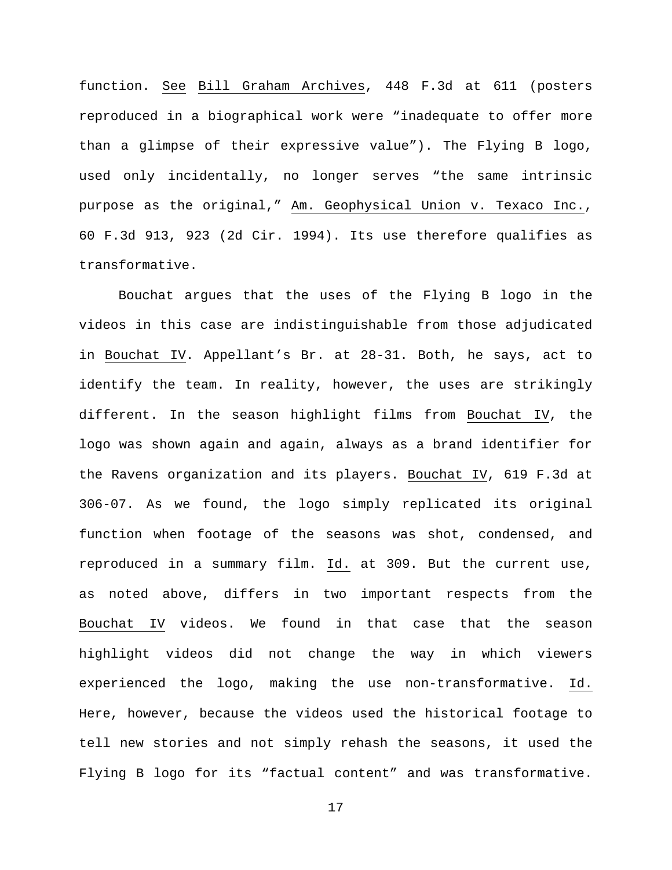function. See Bill Graham Archives, 448 F.3d at 611 (posters reproduced in a biographical work were "inadequate to offer more than a glimpse of their expressive value"). The Flying B logo, used only incidentally, no longer serves "the same intrinsic purpose as the original," Am. Geophysical Union v. Texaco Inc., 60 F.3d 913, 923 (2d Cir. 1994). Its use therefore qualifies as transformative.

Bouchat argues that the uses of the Flying B logo in the videos in this case are indistinguishable from those adjudicated in Bouchat IV. Appellant's Br. at 28-31. Both, he says, act to identify the team. In reality, however, the uses are strikingly different. In the season highlight films from Bouchat IV, the logo was shown again and again, always as a brand identifier for the Ravens organization and its players. Bouchat IV, 619 F.3d at 306-07. As we found, the logo simply replicated its original function when footage of the seasons was shot, condensed, and reproduced in a summary film. Id. at 309. But the current use, as noted above, differs in two important respects from the Bouchat IV videos. We found in that case that the season highlight videos did not change the way in which viewers experienced the logo, making the use non-transformative. Id. Here, however, because the videos used the historical footage to tell new stories and not simply rehash the seasons, it used the Flying B logo for its "factual content" and was transformative.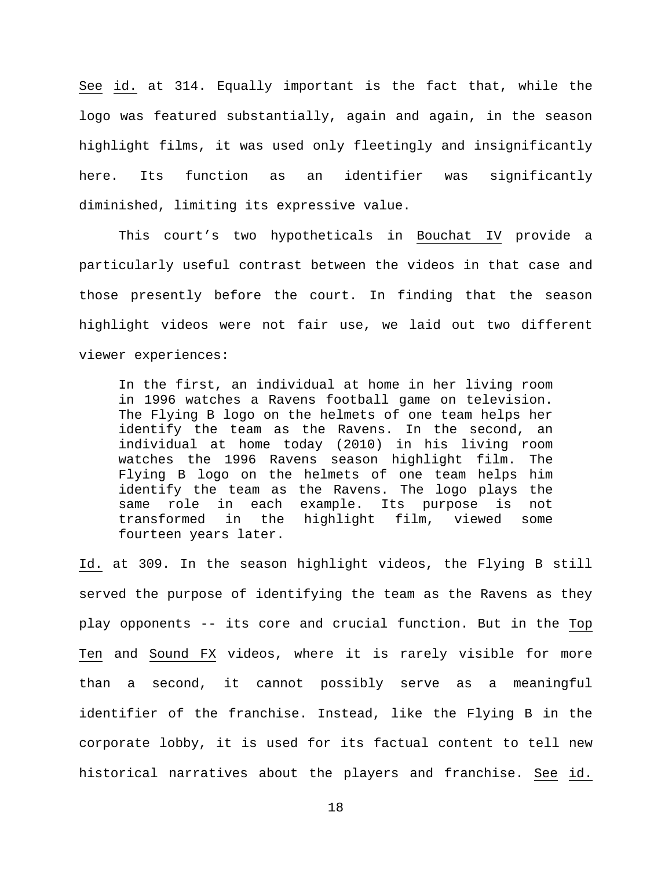See id. at 314. Equally important is the fact that, while the logo was featured substantially, again and again, in the season highlight films, it was used only fleetingly and insignificantly here. Its function as an identifier was significantly diminished, limiting its expressive value.

This court's two hypotheticals in Bouchat IV provide a particularly useful contrast between the videos in that case and those presently before the court. In finding that the season highlight videos were not fair use, we laid out two different viewer experiences:

In the first, an individual at home in her living room in 1996 watches a Ravens football game on television. The Flying B logo on the helmets of one team helps her identify the team as the Ravens. In the second, an individual at home today (2010) in his living room watches the 1996 Ravens season highlight film. The Flying B logo on the helmets of one team helps him identify the team as the Ravens. The logo plays the same role in each example. Its purpose is not<br>transformed in the highlight film, viewed some in the highlight film, viewed some fourteen years later.

Id. at 309. In the season highlight videos, the Flying B still served the purpose of identifying the team as the Ravens as they play opponents -- its core and crucial function. But in the Top Ten and Sound FX videos, where it is rarely visible for more than a second, it cannot possibly serve as a meaningful identifier of the franchise. Instead, like the Flying B in the corporate lobby, it is used for its factual content to tell new historical narratives about the players and franchise. See id.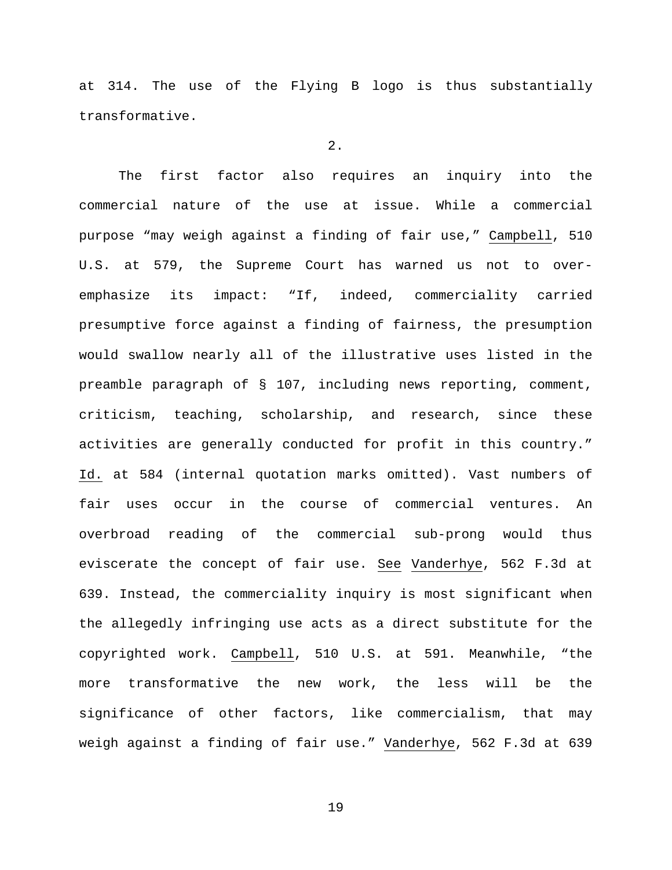at 314. The use of the Flying B logo is thus substantially transformative.

## 2.

The first factor also requires an inquiry into the commercial nature of the use at issue. While a commercial purpose "may weigh against a finding of fair use," Campbell, 510 U.S. at 579, the Supreme Court has warned us not to overemphasize its impact: "If, indeed, commerciality carried presumptive force against a finding of fairness, the presumption would swallow nearly all of the illustrative uses listed in the preamble paragraph of § 107, including news reporting, comment, criticism, teaching, scholarship, and research, since these activities are generally conducted for profit in this country." Id. at 584 (internal quotation marks omitted). Vast numbers of fair uses occur in the course of commercial ventures. An overbroad reading of the commercial sub-prong would thus eviscerate the concept of fair use. See Vanderhye, 562 F.3d at 639. Instead, the commerciality inquiry is most significant when the allegedly infringing use acts as a direct substitute for the copyrighted work. Campbell, 510 U.S. at 591. Meanwhile, "the more transformative the new work, the less will be the significance of other factors, like commercialism, that may weigh against a finding of fair use." Vanderhye, 562 F.3d at 639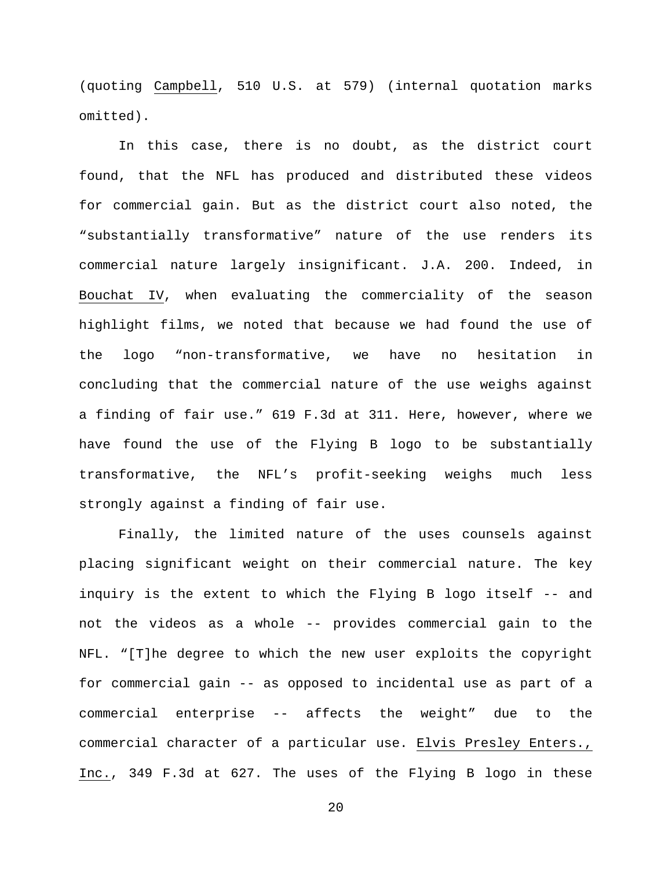(quoting Campbell, 510 U.S. at 579) (internal quotation marks omitted).

In this case, there is no doubt, as the district court found, that the NFL has produced and distributed these videos for commercial gain. But as the district court also noted, the "substantially transformative" nature of the use renders its commercial nature largely insignificant. J.A. 200. Indeed, in Bouchat IV, when evaluating the commerciality of the season highlight films, we noted that because we had found the use of the logo "non-transformative, we have no hesitation in concluding that the commercial nature of the use weighs against a finding of fair use." 619 F.3d at 311. Here, however, where we have found the use of the Flying B logo to be substantially transformative, the NFL's profit-seeking weighs much less strongly against a finding of fair use.

Finally, the limited nature of the uses counsels against placing significant weight on their commercial nature. The key inquiry is the extent to which the Flying B logo itself -- and not the videos as a whole -- provides commercial gain to the NFL. "[T]he degree to which the new user exploits the copyright for commercial gain -- as opposed to incidental use as part of a commercial enterprise -- affects the weight" due to the commercial character of a particular use. Elvis Presley Enters., Inc., 349 F.3d at 627. The uses of the Flying B logo in these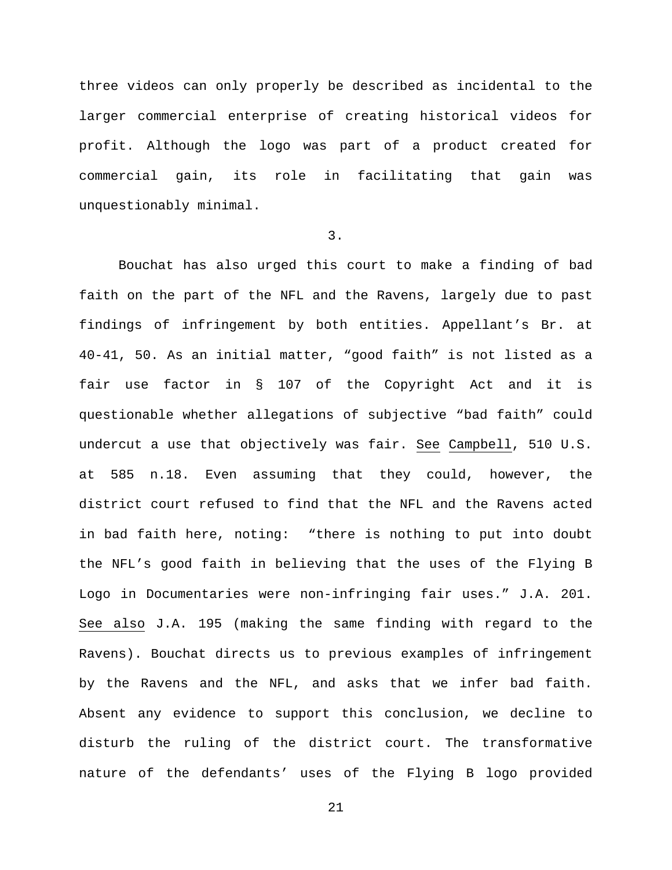three videos can only properly be described as incidental to the larger commercial enterprise of creating historical videos for profit. Although the logo was part of a product created for commercial gain, its role in facilitating that gain was unquestionably minimal.

## 3.

Bouchat has also urged this court to make a finding of bad faith on the part of the NFL and the Ravens, largely due to past findings of infringement by both entities. Appellant's Br. at 40-41, 50. As an initial matter, "good faith" is not listed as a fair use factor in § 107 of the Copyright Act and it is questionable whether allegations of subjective "bad faith" could undercut a use that objectively was fair. See Campbell, 510 U.S. at 585 n.18. Even assuming that they could, however, the district court refused to find that the NFL and the Ravens acted in bad faith here, noting: "there is nothing to put into doubt the NFL's good faith in believing that the uses of the Flying B Logo in Documentaries were non-infringing fair uses." J.A. 201. See also J.A. 195 (making the same finding with regard to the Ravens). Bouchat directs us to previous examples of infringement by the Ravens and the NFL, and asks that we infer bad faith. Absent any evidence to support this conclusion, we decline to disturb the ruling of the district court. The transformative nature of the defendants' uses of the Flying B logo provided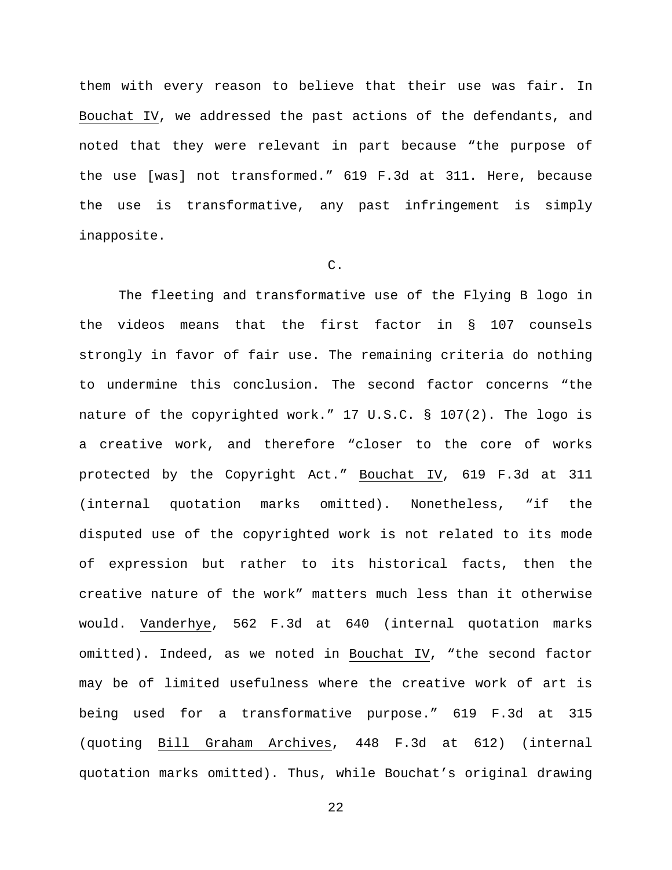them with every reason to believe that their use was fair. In Bouchat IV, we addressed the past actions of the defendants, and noted that they were relevant in part because "the purpose of the use [was] not transformed." 619 F.3d at 311. Here, because the use is transformative, any past infringement is simply inapposite.

# C.

The fleeting and transformative use of the Flying B logo in the videos means that the first factor in § 107 counsels strongly in favor of fair use. The remaining criteria do nothing to undermine this conclusion. The second factor concerns "the nature of the copyrighted work." 17 U.S.C. § 107(2). The logo is a creative work, and therefore "closer to the core of works protected by the Copyright Act." Bouchat IV, 619 F.3d at 311 (internal quotation marks omitted). Nonetheless, "if the disputed use of the copyrighted work is not related to its mode of expression but rather to its historical facts, then the creative nature of the work" matters much less than it otherwise would. Vanderhye, 562 F.3d at 640 (internal quotation marks omitted). Indeed, as we noted in Bouchat IV, "the second factor may be of limited usefulness where the creative work of art is being used for a transformative purpose." 619 F.3d at 315 (quoting Bill Graham Archives, 448 F.3d at 612) (internal quotation marks omitted). Thus, while Bouchat's original drawing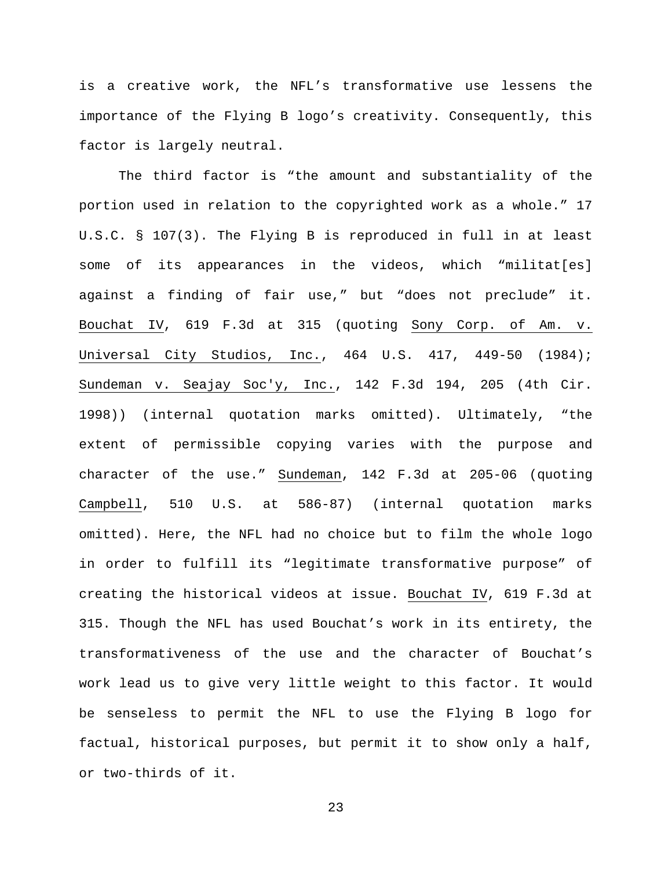is a creative work, the NFL's transformative use lessens the importance of the Flying B logo's creativity. Consequently, this factor is largely neutral.

The third factor is "the amount and substantiality of the portion used in relation to the copyrighted work as a whole." 17 U.S.C. § 107(3). The Flying B is reproduced in full in at least some of its appearances in the videos, which "militat[es] against a finding of fair use," but "does not preclude" it. Bouchat IV, 619 F.3d at 315 (quoting Sony Corp. of Am. v. Universal City Studios, Inc., 464 U.S. 417, 449-50 (1984); Sundeman v. Seajay Soc'y, Inc., 142 F.3d 194, 205 (4th Cir. 1998)) (internal quotation marks omitted). Ultimately, "the extent of permissible copying varies with the purpose and character of the use." Sundeman, 142 F.3d at 205-06 (quoting Campbell, 510 U.S. at 586-87) (internal quotation marks omitted). Here, the NFL had no choice but to film the whole logo in order to fulfill its "legitimate transformative purpose" of creating the historical videos at issue. Bouchat IV, 619 F.3d at 315. Though the NFL has used Bouchat's work in its entirety, the transformativeness of the use and the character of Bouchat's work lead us to give very little weight to this factor. It would be senseless to permit the NFL to use the Flying B logo for factual, historical purposes, but permit it to show only a half, or two-thirds of it.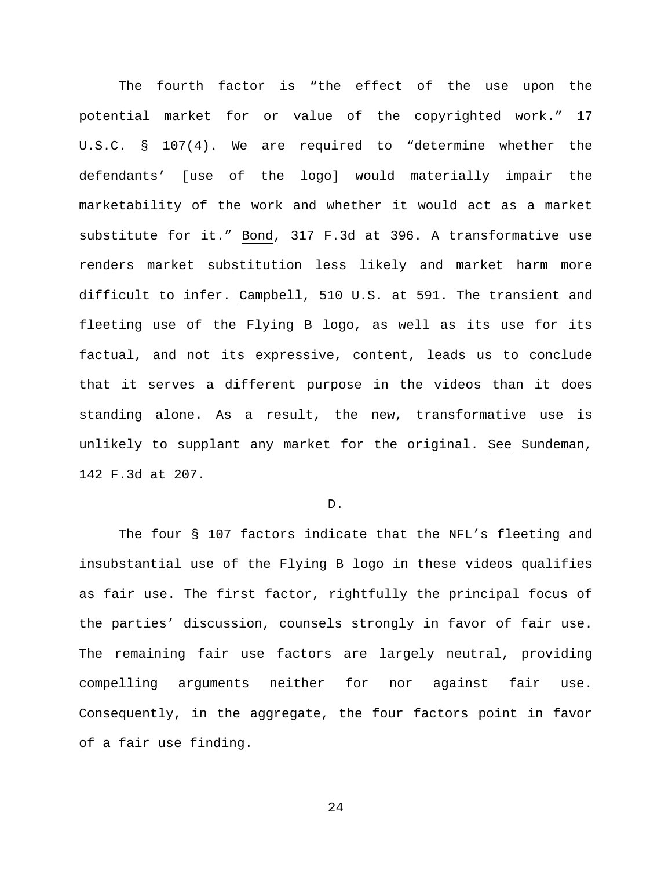The fourth factor is "the effect of the use upon the potential market for or value of the copyrighted work." 17 U.S.C. § 107(4). We are required to "determine whether the defendants' [use of the logo] would materially impair the marketability of the work and whether it would act as a market substitute for it." Bond, 317 F.3d at 396. A transformative use renders market substitution less likely and market harm more difficult to infer. Campbell, 510 U.S. at 591. The transient and fleeting use of the Flying B logo, as well as its use for its factual, and not its expressive, content, leads us to conclude that it serves a different purpose in the videos than it does standing alone. As a result, the new, transformative use is unlikely to supplant any market for the original. See Sundeman, 142 F.3d at 207.

#### D.

The four § 107 factors indicate that the NFL's fleeting and insubstantial use of the Flying B logo in these videos qualifies as fair use. The first factor, rightfully the principal focus of the parties' discussion, counsels strongly in favor of fair use. The remaining fair use factors are largely neutral, providing compelling arguments neither for nor against fair use. Consequently, in the aggregate, the four factors point in favor of a fair use finding.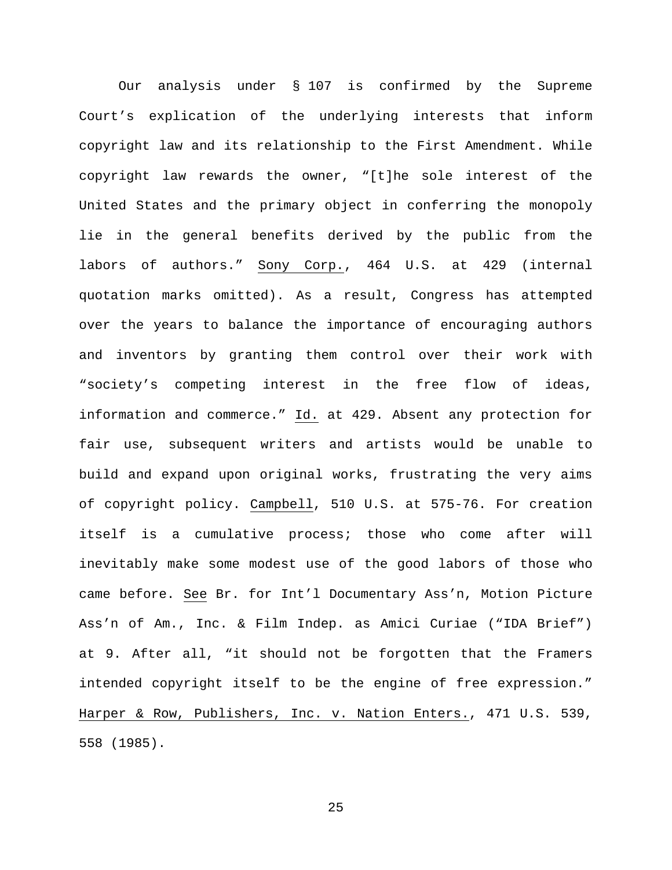Our analysis under § 107 is confirmed by the Supreme Court's explication of the underlying interests that inform copyright law and its relationship to the First Amendment. While copyright law rewards the owner, "[t]he sole interest of the United States and the primary object in conferring the monopoly lie in the general benefits derived by the public from the labors of authors." Sony Corp., 464 U.S. at 429 (internal quotation marks omitted). As a result, Congress has attempted over the years to balance the importance of encouraging authors and inventors by granting them control over their work with "society's competing interest in the free flow of ideas, information and commerce." Id. at 429. Absent any protection for fair use, subsequent writers and artists would be unable to build and expand upon original works, frustrating the very aims of copyright policy. Campbell, 510 U.S. at 575-76. For creation itself is a cumulative process; those who come after will inevitably make some modest use of the good labors of those who came before. See Br. for Int'l Documentary Ass'n, Motion Picture Ass'n of Am., Inc. & Film Indep. as Amici Curiae ("IDA Brief") at 9. After all, "it should not be forgotten that the Framers intended copyright itself to be the engine of free expression." Harper & Row, Publishers, Inc. v. Nation Enters., 471 U.S. 539, 558 (1985).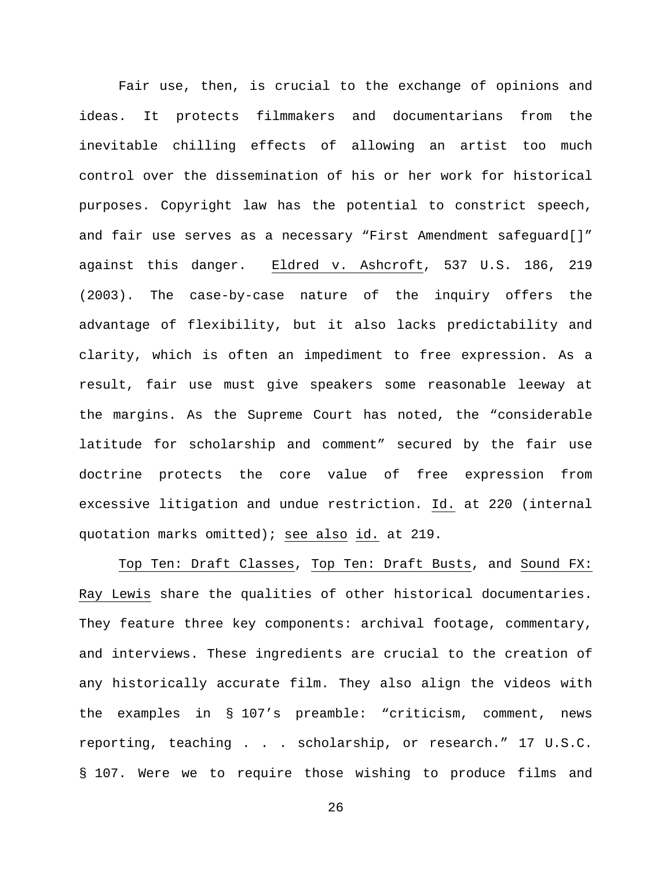Fair use, then, is crucial to the exchange of opinions and ideas. It protects filmmakers and documentarians from the inevitable chilling effects of allowing an artist too much control over the dissemination of his or her work for historical purposes. Copyright law has the potential to constrict speech, and fair use serves as a necessary "First Amendment safeguard[]" against this danger. Eldred v. Ashcroft, 537 U.S. 186, 219 (2003). The case-by-case nature of the inquiry offers the advantage of flexibility, but it also lacks predictability and clarity, which is often an impediment to free expression. As a result, fair use must give speakers some reasonable leeway at the margins. As the Supreme Court has noted, the "considerable latitude for scholarship and comment" secured by the fair use doctrine protects the core value of free expression from excessive litigation and undue restriction. Id. at 220 (internal quotation marks omitted); see also id. at 219.

Top Ten: Draft Classes, Top Ten: Draft Busts, and Sound FX: Ray Lewis share the qualities of other historical documentaries. They feature three key components: archival footage, commentary, and interviews. These ingredients are crucial to the creation of any historically accurate film. They also align the videos with the examples in § 107's preamble: "criticism, comment, news reporting, teaching . . . scholarship, or research." 17 U.S.C. § 107. Were we to require those wishing to produce films and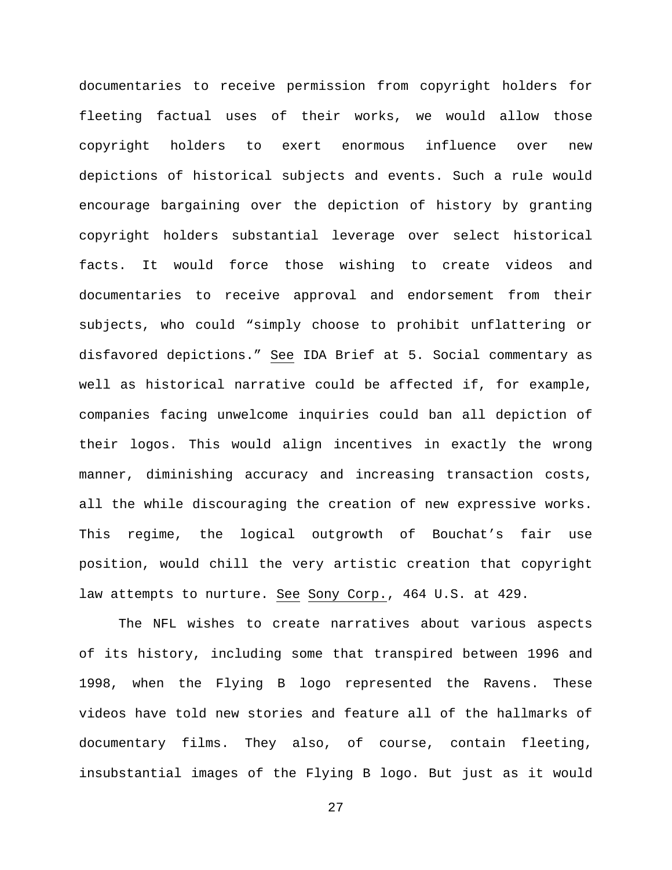documentaries to receive permission from copyright holders for fleeting factual uses of their works, we would allow those copyright holders to exert enormous influence over new depictions of historical subjects and events. Such a rule would encourage bargaining over the depiction of history by granting copyright holders substantial leverage over select historical facts. It would force those wishing to create videos and documentaries to receive approval and endorsement from their subjects, who could "simply choose to prohibit unflattering or disfavored depictions." See IDA Brief at 5. Social commentary as well as historical narrative could be affected if, for example, companies facing unwelcome inquiries could ban all depiction of their logos. This would align incentives in exactly the wrong manner, diminishing accuracy and increasing transaction costs, all the while discouraging the creation of new expressive works. This regime, the logical outgrowth of Bouchat's fair use position, would chill the very artistic creation that copyright law attempts to nurture. See Sony Corp., 464 U.S. at 429.

The NFL wishes to create narratives about various aspects of its history, including some that transpired between 1996 and 1998, when the Flying B logo represented the Ravens. These videos have told new stories and feature all of the hallmarks of documentary films. They also, of course, contain fleeting, insubstantial images of the Flying B logo. But just as it would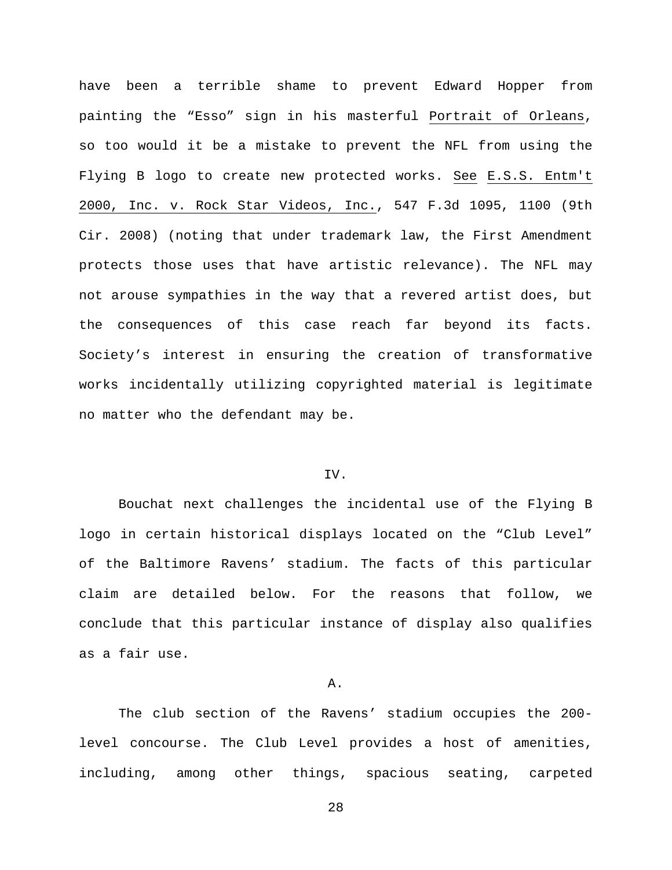have been a terrible shame to prevent Edward Hopper from painting the "Esso" sign in his masterful Portrait of Orleans, so too would it be a mistake to prevent the NFL from using the Flying B logo to create new protected works. See E.S.S. Entm't 2000, Inc. v. Rock Star Videos, Inc., 547 F.3d 1095, 1100 (9th Cir. 2008) (noting that under trademark law, the First Amendment protects those uses that have artistic relevance). The NFL may not arouse sympathies in the way that a revered artist does, but the consequences of this case reach far beyond its facts. Society's interest in ensuring the creation of transformative works incidentally utilizing copyrighted material is legitimate no matter who the defendant may be.

# IV.

Bouchat next challenges the incidental use of the Flying B logo in certain historical displays located on the "Club Level" of the Baltimore Ravens' stadium. The facts of this particular claim are detailed below. For the reasons that follow, we conclude that this particular instance of display also qualifies as a fair use.

#### A.

The club section of the Ravens' stadium occupies the 200 level concourse. The Club Level provides a host of amenities, including, among other things, spacious seating, carpeted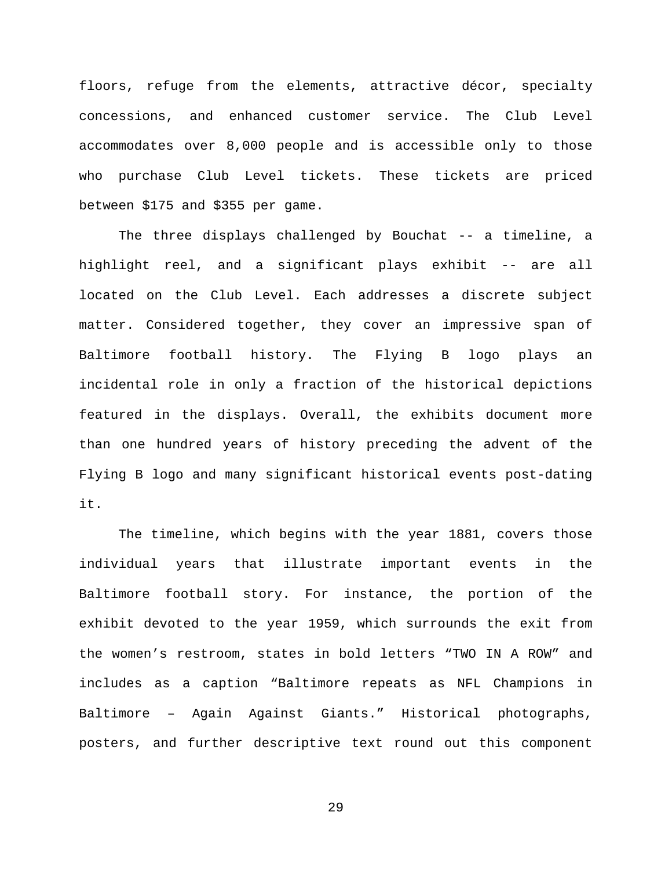floors, refuge from the elements, attractive décor, specialty concessions, and enhanced customer service. The Club Level accommodates over 8,000 people and is accessible only to those who purchase Club Level tickets. These tickets are priced between \$175 and \$355 per game.

The three displays challenged by Bouchat -- a timeline, a highlight reel, and a significant plays exhibit -- are all located on the Club Level. Each addresses a discrete subject matter. Considered together, they cover an impressive span of Baltimore football history. The Flying B logo plays an incidental role in only a fraction of the historical depictions featured in the displays. Overall, the exhibits document more than one hundred years of history preceding the advent of the Flying B logo and many significant historical events post-dating it.

The timeline, which begins with the year 1881, covers those individual years that illustrate important events in the Baltimore football story. For instance, the portion of the exhibit devoted to the year 1959, which surrounds the exit from the women's restroom, states in bold letters "TWO IN A ROW" and includes as a caption "Baltimore repeats as NFL Champions in Baltimore – Again Against Giants." Historical photographs, posters, and further descriptive text round out this component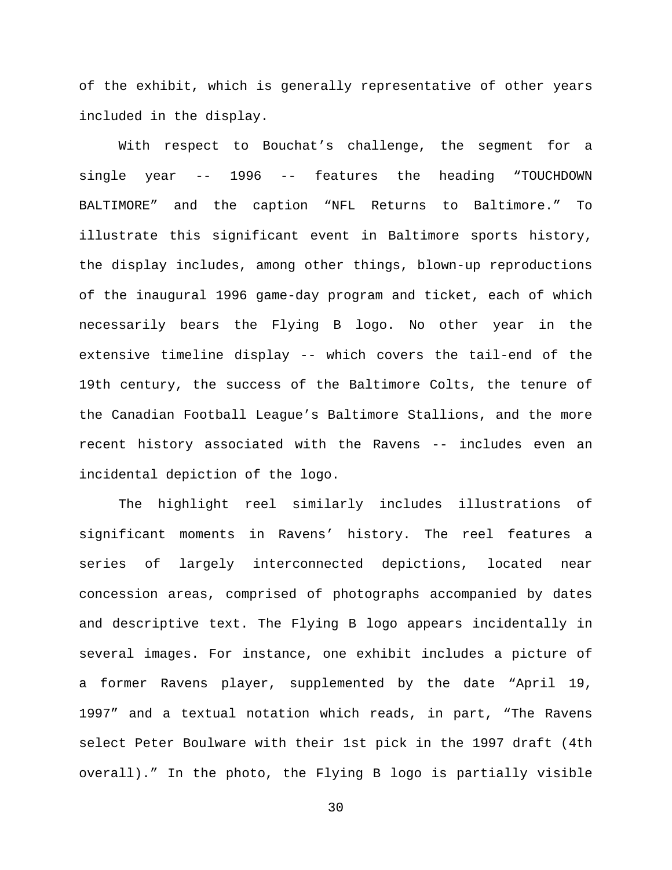of the exhibit, which is generally representative of other years included in the display.

With respect to Bouchat's challenge, the segment for a single year -- 1996 -- features the heading "TOUCHDOWN BALTIMORE" and the caption "NFL Returns to Baltimore." To illustrate this significant event in Baltimore sports history, the display includes, among other things, blown-up reproductions of the inaugural 1996 game-day program and ticket, each of which necessarily bears the Flying B logo. No other year in the extensive timeline display -- which covers the tail-end of the 19th century, the success of the Baltimore Colts, the tenure of the Canadian Football League's Baltimore Stallions, and the more recent history associated with the Ravens -- includes even an incidental depiction of the logo.

The highlight reel similarly includes illustrations of significant moments in Ravens' history. The reel features a series of largely interconnected depictions, located near concession areas, comprised of photographs accompanied by dates and descriptive text. The Flying B logo appears incidentally in several images. For instance, one exhibit includes a picture of a former Ravens player, supplemented by the date "April 19, 1997" and a textual notation which reads, in part, "The Ravens select Peter Boulware with their 1st pick in the 1997 draft (4th overall)." In the photo, the Flying B logo is partially visible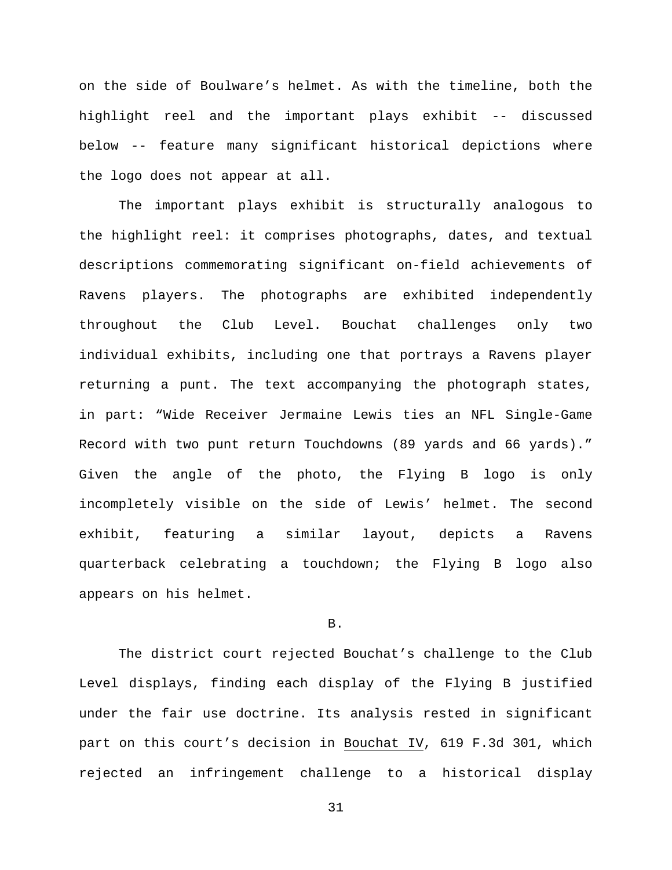on the side of Boulware's helmet. As with the timeline, both the highlight reel and the important plays exhibit -- discussed below -- feature many significant historical depictions where the logo does not appear at all.

The important plays exhibit is structurally analogous to the highlight reel: it comprises photographs, dates, and textual descriptions commemorating significant on-field achievements of Ravens players. The photographs are exhibited independently throughout the Club Level. Bouchat challenges only two individual exhibits, including one that portrays a Ravens player returning a punt. The text accompanying the photograph states, in part: "Wide Receiver Jermaine Lewis ties an NFL Single-Game Record with two punt return Touchdowns (89 yards and 66 yards)." Given the angle of the photo, the Flying B logo is only incompletely visible on the side of Lewis' helmet. The second exhibit, featuring a similar layout, depicts a Ravens quarterback celebrating a touchdown; the Flying B logo also appears on his helmet.

## B.

The district court rejected Bouchat's challenge to the Club Level displays, finding each display of the Flying B justified under the fair use doctrine. Its analysis rested in significant part on this court's decision in Bouchat IV, 619 F.3d 301, which rejected an infringement challenge to a historical display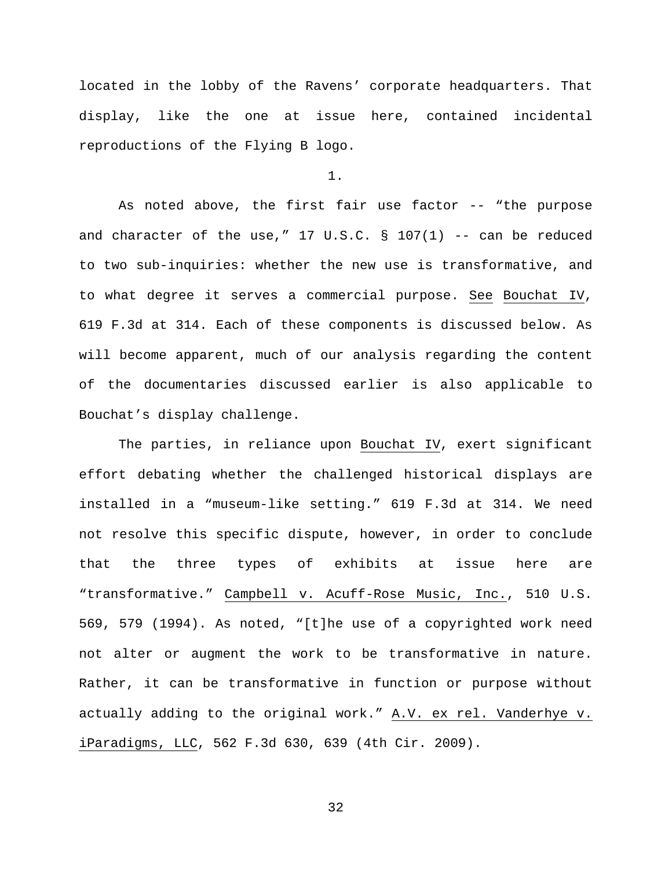located in the lobby of the Ravens' corporate headquarters. That display, like the one at issue here, contained incidental reproductions of the Flying B logo.

1.

As noted above, the first fair use factor -- "the purpose and character of the use,"  $17 \text{ U.S.C.}$  §  $107(1)$  -- can be reduced to two sub-inquiries: whether the new use is transformative, and to what degree it serves a commercial purpose. See Bouchat IV, 619 F.3d at 314. Each of these components is discussed below. As will become apparent, much of our analysis regarding the content of the documentaries discussed earlier is also applicable to Bouchat's display challenge.

The parties, in reliance upon Bouchat IV, exert significant effort debating whether the challenged historical displays are installed in a "museum-like setting." 619 F.3d at 314. We need not resolve this specific dispute, however, in order to conclude that the three types of exhibits at issue here are "transformative." Campbell v. Acuff-Rose Music, Inc., 510 U.S. 569, 579 (1994). As noted, "[t]he use of a copyrighted work need not alter or augment the work to be transformative in nature. Rather, it can be transformative in function or purpose without actually adding to the original work." A.V. ex rel. Vanderhye v. iParadigms, LLC, 562 F.3d 630, 639 (4th Cir. 2009).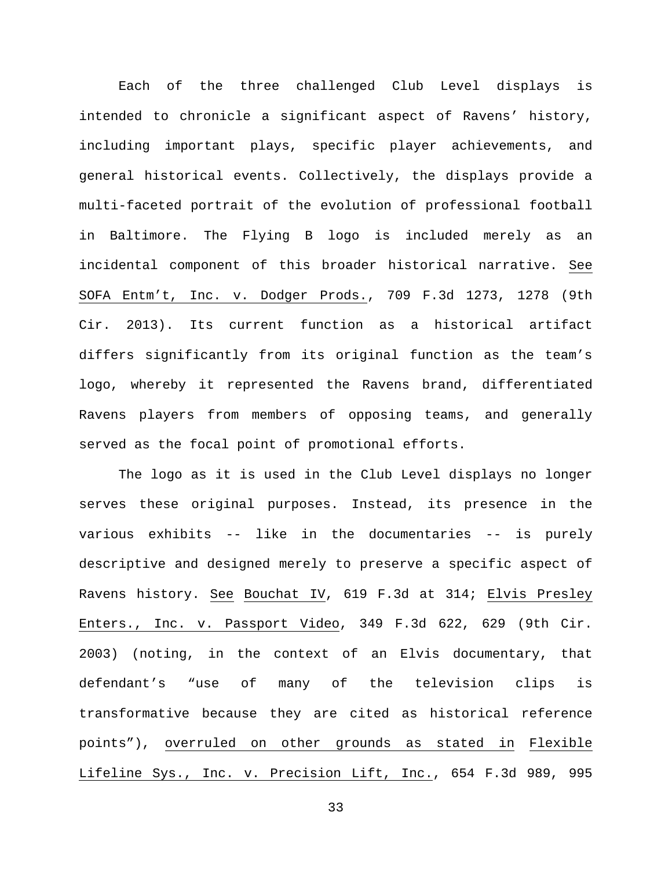Each of the three challenged Club Level displays is intended to chronicle a significant aspect of Ravens' history, including important plays, specific player achievements, and general historical events. Collectively, the displays provide a multi-faceted portrait of the evolution of professional football in Baltimore. The Flying B logo is included merely as an incidental component of this broader historical narrative. See SOFA Entm't, Inc. v. Dodger Prods., 709 F.3d 1273, 1278 (9th Cir. 2013). Its current function as a historical artifact differs significantly from its original function as the team's logo, whereby it represented the Ravens brand, differentiated Ravens players from members of opposing teams, and generally served as the focal point of promotional efforts.

The logo as it is used in the Club Level displays no longer serves these original purposes. Instead, its presence in the various exhibits -- like in the documentaries -- is purely descriptive and designed merely to preserve a specific aspect of Ravens history. See Bouchat IV, 619 F.3d at 314; Elvis Presley Enters., Inc. v. Passport Video, 349 F.3d 622, 629 (9th Cir. 2003) (noting, in the context of an Elvis documentary, that defendant's "use of many of the television clips is transformative because they are cited as historical reference points"), overruled on other grounds as stated in Flexible Lifeline Sys., Inc. v. Precision Lift, Inc., 654 F.3d 989, 995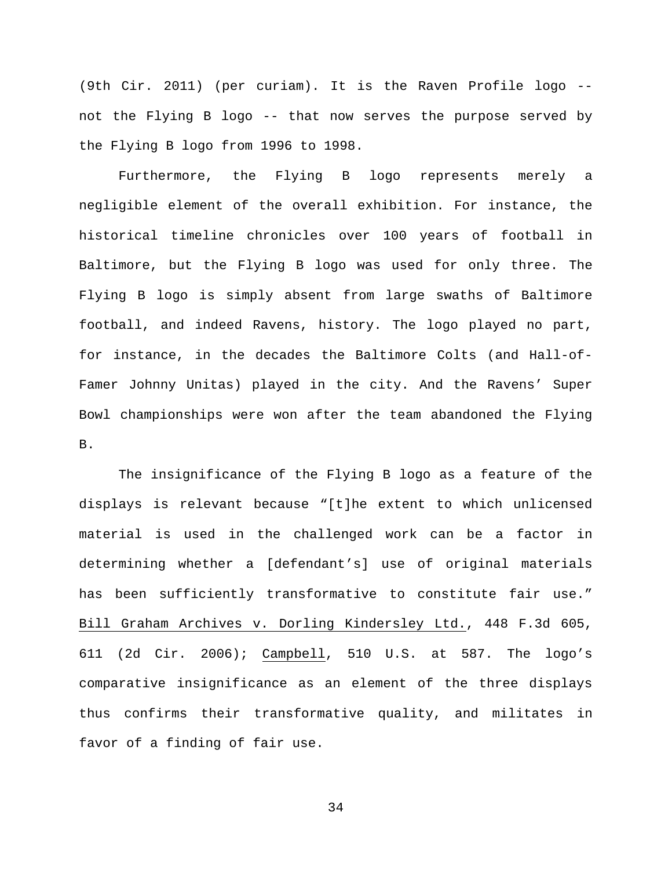(9th Cir. 2011) (per curiam). It is the Raven Profile logo - not the Flying B logo -- that now serves the purpose served by the Flying B logo from 1996 to 1998.

Furthermore, the Flying B logo represents merely a negligible element of the overall exhibition. For instance, the historical timeline chronicles over 100 years of football in Baltimore, but the Flying B logo was used for only three. The Flying B logo is simply absent from large swaths of Baltimore football, and indeed Ravens, history. The logo played no part, for instance, in the decades the Baltimore Colts (and Hall-of-Famer Johnny Unitas) played in the city. And the Ravens' Super Bowl championships were won after the team abandoned the Flying B.

The insignificance of the Flying B logo as a feature of the displays is relevant because "[t]he extent to which unlicensed material is used in the challenged work can be a factor in determining whether a [defendant's] use of original materials has been sufficiently transformative to constitute fair use." Bill Graham Archives v. Dorling Kindersley Ltd., 448 F.3d 605, 611 (2d Cir. 2006); Campbell, 510 U.S. at 587. The logo's comparative insignificance as an element of the three displays thus confirms their transformative quality, and militates in favor of a finding of fair use.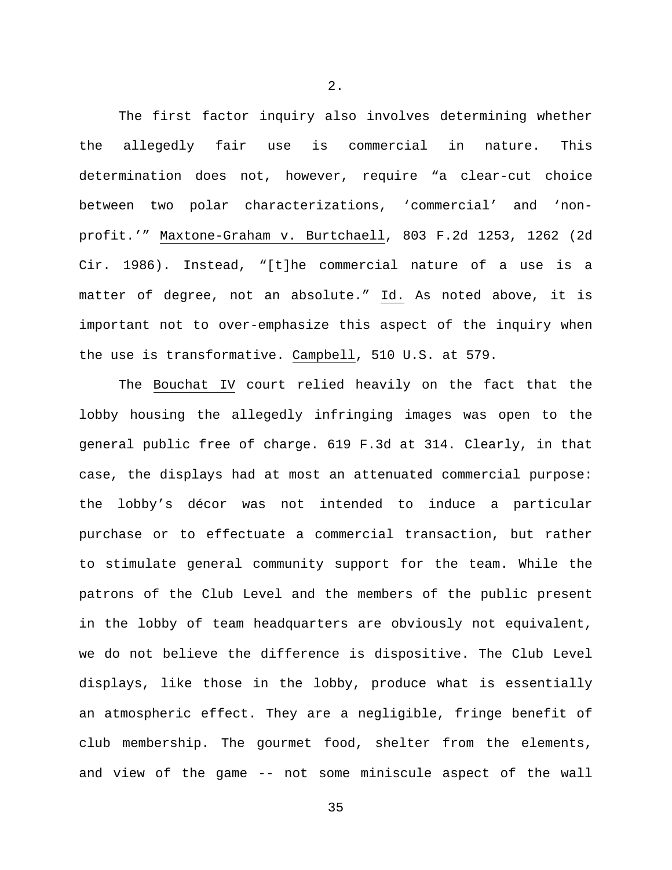The first factor inquiry also involves determining whether the allegedly fair use is commercial in nature. This determination does not, however, require "a clear-cut choice between two polar characterizations, 'commercial' and 'nonprofit.'" Maxtone-Graham v. Burtchaell, 803 F.2d 1253, 1262 (2d Cir. 1986). Instead, "[t]he commercial nature of a use is a matter of degree, not an absolute." Id. As noted above, it is important not to over-emphasize this aspect of the inquiry when the use is transformative. Campbell, 510 U.S. at 579.

The Bouchat IV court relied heavily on the fact that the lobby housing the allegedly infringing images was open to the general public free of charge. 619 F.3d at 314. Clearly, in that case, the displays had at most an attenuated commercial purpose: the lobby's décor was not intended to induce a particular purchase or to effectuate a commercial transaction, but rather to stimulate general community support for the team. While the patrons of the Club Level and the members of the public present in the lobby of team headquarters are obviously not equivalent, we do not believe the difference is dispositive. The Club Level displays, like those in the lobby, produce what is essentially an atmospheric effect. They are a negligible, fringe benefit of club membership. The gourmet food, shelter from the elements, and view of the game -- not some miniscule aspect of the wall

2.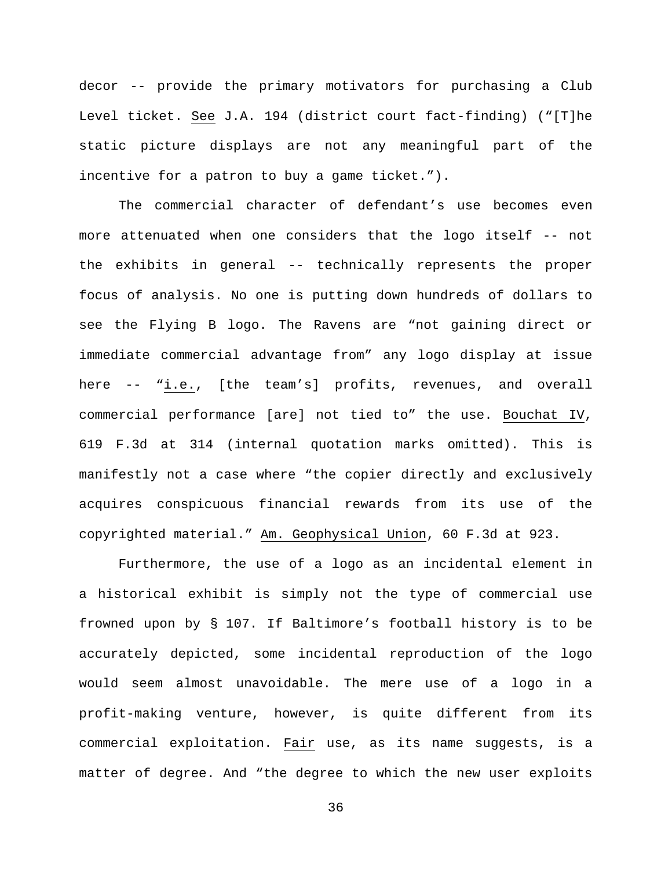decor -- provide the primary motivators for purchasing a Club Level ticket. See J.A. 194 (district court fact-finding) ("[T]he static picture displays are not any meaningful part of the incentive for a patron to buy a game ticket.").

The commercial character of defendant's use becomes even more attenuated when one considers that the logo itself -- not the exhibits in general -- technically represents the proper focus of analysis. No one is putting down hundreds of dollars to see the Flying B logo. The Ravens are "not gaining direct or immediate commercial advantage from" any logo display at issue here -- "i.e., [the team's] profits, revenues, and overall commercial performance [are] not tied to" the use. Bouchat IV, 619 F.3d at 314 (internal quotation marks omitted). This is manifestly not a case where "the copier directly and exclusively acquires conspicuous financial rewards from its use of the copyrighted material." Am. Geophysical Union, 60 F.3d at 923.

Furthermore, the use of a logo as an incidental element in a historical exhibit is simply not the type of commercial use frowned upon by § 107. If Baltimore's football history is to be accurately depicted, some incidental reproduction of the logo would seem almost unavoidable. The mere use of a logo in a profit-making venture, however, is quite different from its commercial exploitation. Fair use, as its name suggests, is a matter of degree. And "the degree to which the new user exploits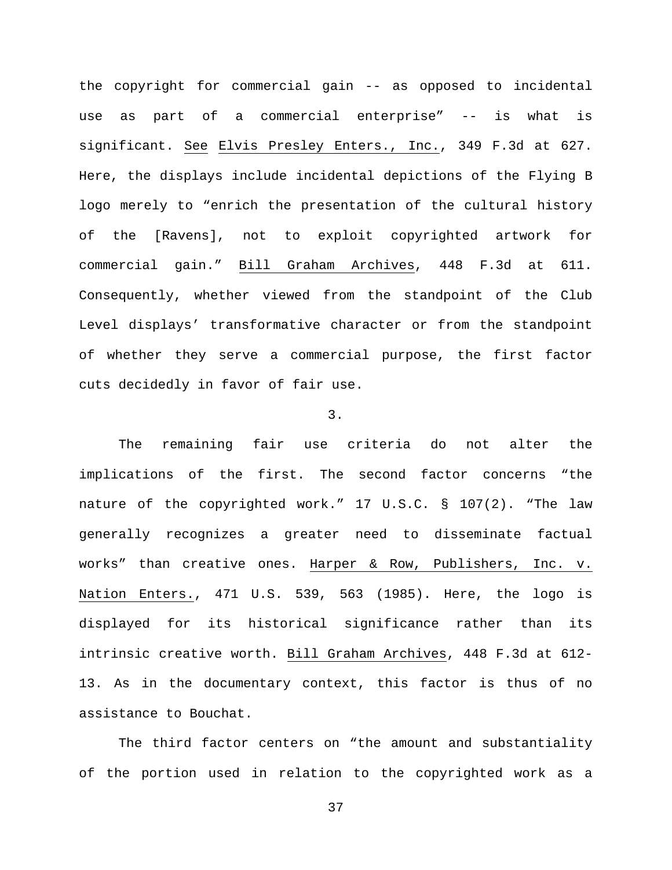the copyright for commercial gain -- as opposed to incidental use as part of a commercial enterprise" -- is what is significant. See Elvis Presley Enters., Inc., 349 F.3d at 627. Here, the displays include incidental depictions of the Flying B logo merely to "enrich the presentation of the cultural history of the [Ravens], not to exploit copyrighted artwork for commercial gain." Bill Graham Archives, 448 F.3d at 611. Consequently, whether viewed from the standpoint of the Club Level displays' transformative character or from the standpoint of whether they serve a commercial purpose, the first factor cuts decidedly in favor of fair use.

## 3.

The remaining fair use criteria do not alter the implications of the first. The second factor concerns "the nature of the copyrighted work." 17 U.S.C. § 107(2). "The law generally recognizes a greater need to disseminate factual works" than creative ones. Harper & Row, Publishers, Inc. v. Nation Enters., 471 U.S. 539, 563 (1985). Here, the logo is displayed for its historical significance rather than its intrinsic creative worth. Bill Graham Archives, 448 F.3d at 612- 13. As in the documentary context, this factor is thus of no assistance to Bouchat.

The third factor centers on "the amount and substantiality of the portion used in relation to the copyrighted work as a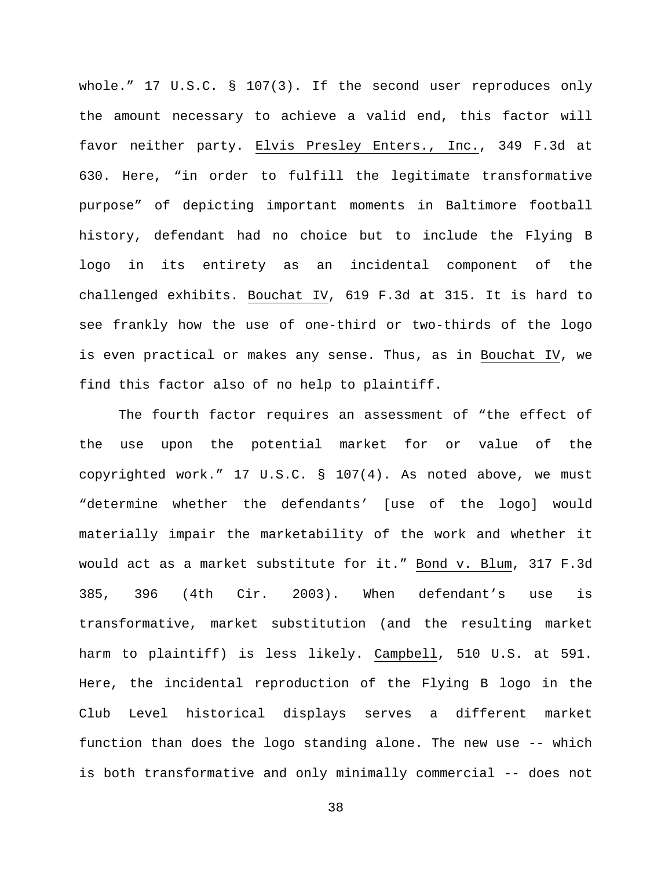whole." 17 U.S.C. § 107(3). If the second user reproduces only the amount necessary to achieve a valid end, this factor will favor neither party. Elvis Presley Enters., Inc., 349 F.3d at 630. Here, "in order to fulfill the legitimate transformative purpose" of depicting important moments in Baltimore football history, defendant had no choice but to include the Flying B logo in its entirety as an incidental component of the challenged exhibits. Bouchat IV, 619 F.3d at 315. It is hard to see frankly how the use of one-third or two-thirds of the logo is even practical or makes any sense. Thus, as in Bouchat IV, we find this factor also of no help to plaintiff.

The fourth factor requires an assessment of "the effect of the use upon the potential market for or value of the copyrighted work." 17 U.S.C. § 107(4). As noted above, we must "determine whether the defendants' [use of the logo] would materially impair the marketability of the work and whether it would act as a market substitute for it." Bond v. Blum, 317 F.3d 385, 396 (4th Cir. 2003). When defendant's use is transformative, market substitution (and the resulting market harm to plaintiff) is less likely. Campbell, 510 U.S. at 591. Here, the incidental reproduction of the Flying B logo in the Club Level historical displays serves a different market function than does the logo standing alone. The new use -- which is both transformative and only minimally commercial -- does not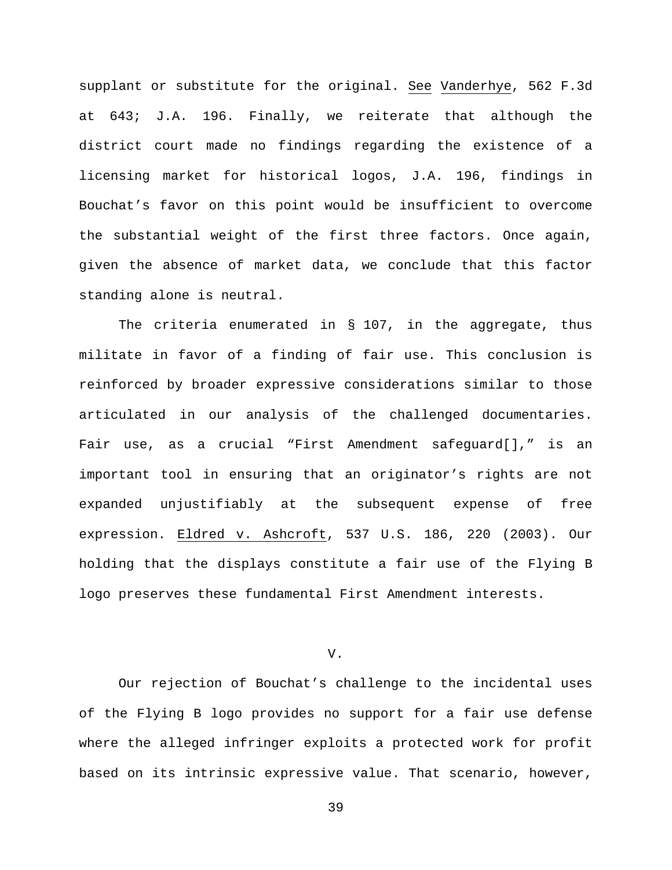supplant or substitute for the original. See Vanderhye, 562 F.3d at 643; J.A. 196. Finally, we reiterate that although the district court made no findings regarding the existence of a licensing market for historical logos, J.A. 196, findings in Bouchat's favor on this point would be insufficient to overcome the substantial weight of the first three factors. Once again, given the absence of market data, we conclude that this factor standing alone is neutral.

The criteria enumerated in § 107, in the aggregate, thus militate in favor of a finding of fair use. This conclusion is reinforced by broader expressive considerations similar to those articulated in our analysis of the challenged documentaries. Fair use, as a crucial "First Amendment safeguard[]," is an important tool in ensuring that an originator's rights are not expanded unjustifiably at the subsequent expense of free expression. Eldred v. Ashcroft, 537 U.S. 186, 220 (2003). Our holding that the displays constitute a fair use of the Flying B logo preserves these fundamental First Amendment interests.

V.

Our rejection of Bouchat's challenge to the incidental uses of the Flying B logo provides no support for a fair use defense where the alleged infringer exploits a protected work for profit based on its intrinsic expressive value. That scenario, however,